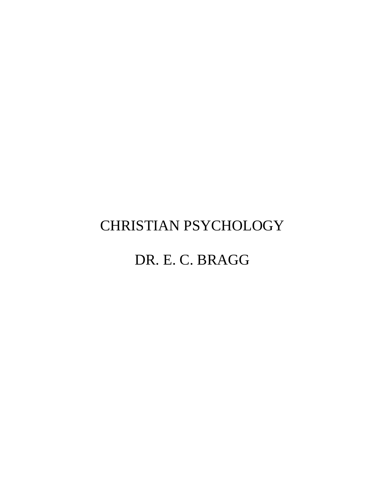# CHRISTIAN PSYCHOLOGY

# DR. E. C. BRAGG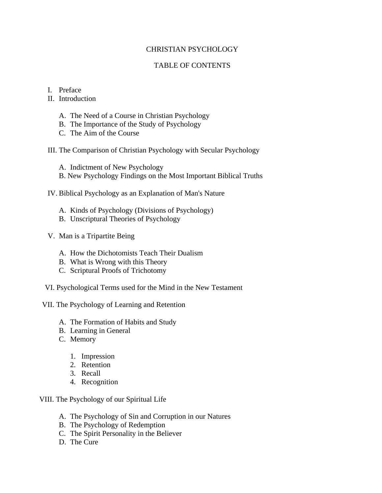# CHRISTIAN PSYCHOLOGY

# TABLE OF CONTENTS

### I. Preface

II. Introduction

- A. The Need of a Course in Christian Psychology
- B. The Importance of the Study of Psychology
- C. The Aim of the Course

III. The Comparison of Christian Psychology with Secular Psychology

A. Indictment of New Psychology

- B. New Psychology Findings on the Most Important Biblical Truths
- IV. Biblical Psychology as an Explanation of Man's Nature
	- A. Kinds of Psychology (Divisions of Psychology)
	- B. Unscriptural Theories of Psychology
- V. Man is a Tripartite Being
	- A. How the Dichotomists Teach Their Dualism
	- B. What is Wrong with this Theory
	- C. Scriptural Proofs of Trichotomy
- VI. Psychological Terms used for the Mind in the New Testament
- VII. The Psychology of Learning and Retention
	- A. The Formation of Habits and Study
	- B. Learning in General
	- C. Memory
		- 1. Impression
		- 2. Retention
		- 3. Recall
		- 4. Recognition

VIII. The Psychology of our Spiritual Life

- A. The Psychology of Sin and Corruption in our Natures
- B. The Psychology of Redemption
- C. The Spirit Personality in the Believer
- D. The Cure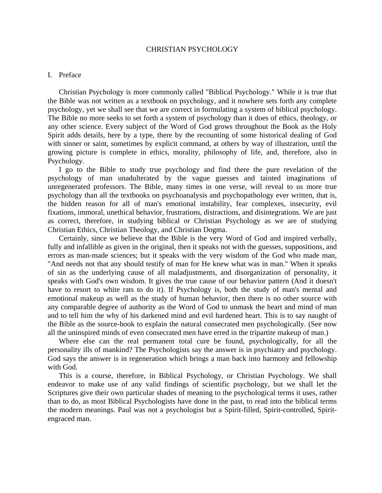#### CHRISTIAN PSYCHOLOGY

#### I. Preface

 Christian Psychology is more commonly called "Biblical Psychology." While it is true that the Bible was not written as a textbook on psychology, and it nowhere sets forth any complete psychology, yet we shall see that we are correct in formulating a system of biblical psychology. The Bible no more seeks to set forth a system of psychology than it does of ethics, theology, or any other science. Every subject of the Word of God grows throughout the Book as the Holy Spirit adds details, here by a type, there by the recounting of some historical dealing of God with sinner or saint, sometimes by explicit command, at others by way of illustration, until the growing picture is complete in ethics, morality, philosophy of life, and, therefore, also in Psychology.

 I go to the Bible to study true psychology and find there the pure revelation of the psychology of man unadulterated by the vague guesses and tainted imaginations of unregenerated professors. The Bible, many times in one verse, will reveal to us more true psychology than all the textbooks on psychoanalysis and psychopathology ever written, that is, the hidden reason for all of man's emotional instability, fear complexes, insecurity, evil fixations, immoral, unethical behavior, frustrations, distractions, and disintegrations. We are just as correct, therefore, in studying biblical or Christian Psychology as we are of studying Christian Ethics, Christian Theology, and Christian Dogma.

 Certainly, since we believe that the Bible is the very Word of God and inspired verbally, fully and infallible as given in the original, then it speaks not with the guesses, suppositions, and errors as man-made sciences; but it speaks with the very wisdom of the God who made man, "And needs not that any should testify of man for He knew what was in man." When it speaks of sin as the underlying cause of all maladjustments, and disorganization of personality, it speaks with God's own wisdom. It gives the true cause of our behavior pattern (And it doesn't have to resort to white rats to do it). If Psychology is, both the study of man's mental and emotional makeup as well as the study of human behavior, then there is no other source with any comparable degree of authority as the Word of God to unmask the heart and mind of man and to tell him the why of his darkened mind and evil hardened heart. This is to say naught of the Bible as the source-book to explain the natural consecrated men psychologically. (See now all the uninspired minds of even consecrated men have erred in the tripartite makeup of man.)

 Where else can the real permanent total cure be found, psychologically, for all the personality ills of mankind? The Psychologists say the answer is in psychiatry and psychology. God says the answer is in regeneration which brings a man back into harmony and fellowship with God.

 This is a course, therefore, in Biblical Psychology, or Christian Psychology. We shall endeavor to make use of any valid findings of scientific psychology, but we shall let the Scriptures give their own particular shades of meaning to the psychological terms it uses, rather than to do, as most Biblical Psychologists have done in the past, to read into the biblical terms the modern meanings. Paul was not a psychologist but a Spirit-filled, Spirit-controlled, Spiritengraced man.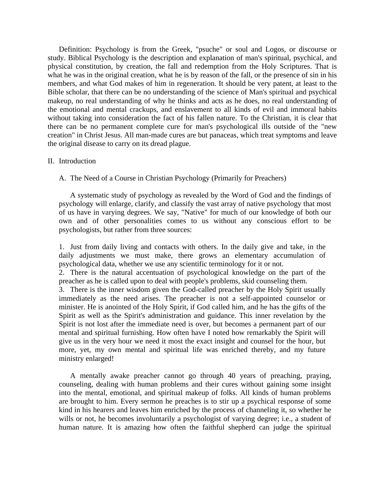Definition: Psychology is from the Greek, "psuche" or soul and Logos, or discourse or study. Biblical Psychology is the description and explanation of man's spiritual, psychical, and physical constitution, by creation, the fall and redemption from the Holy Scriptures. That is what he was in the original creation, what he is by reason of the fall, or the presence of sin in his members, and what God makes of him in regeneration. It should be very patent, at least to the Bible scholar, that there can be no understanding of the science of Man's spiritual and psychical makeup, no real understanding of why he thinks and acts as he does, no real understanding of the emotional and mental crackups, and enslavement to all kinds of evil and immoral habits without taking into consideration the fact of his fallen nature. To the Christian, it is clear that there can be no permanent complete cure for man's psychological ills outside of the "new creation" in Christ Jesus. All man-made cures are but panaceas, which treat symptoms and leave the original disease to carry on its dread plague.

#### II. Introduction

A. The Need of a Course in Christian Psychology (Primarily for Preachers)

 A systematic study of psychology as revealed by the Word of God and the findings of psychology will enlarge, clarify, and classify the vast array of native psychology that most of us have in varying degrees. We say, "Native" for much of our knowledge of both our own and of other personalities comes to us without any conscious effort to be psychologists, but rather from three sources:

1. Just from daily living and contacts with others. In the daily give and take, in the daily adjustments we must make, there grows an elementary accumulation of psychological data, whether we use any scientific terminology for it or not.

2. There is the natural accentuation of psychological knowledge on the part of the preacher as he is called upon to deal with people's problems, skid counseling them.

3. There is the inner wisdom given the God-called preacher by the Holy Spirit usually immediately as the need arises. The preacher is not a self-appointed counselor or minister. He is anointed of the Holy Spirit, if God called him, and he has the gifts of the Spirit as well as the Spirit's administration and guidance. This inner revelation by the Spirit is not lost after the immediate need is over, but becomes a permanent part of our mental and spiritual furnishing. How often have I noted how remarkably the Spirit will give us in the very hour we need it most the exact insight and counsel for the hour, but more, yet, my own mental and spiritual life was enriched thereby, and my future ministry enlarged!

 A mentally awake preacher cannot go through 40 years of preaching, praying, counseling, dealing with human problems and their cures without gaining some insight into the mental, emotional, and spiritual makeup of folks. All kinds of human problems are brought to him. Every sermon he preaches is to stir up a psychical response of some kind in his hearers and leaves him enriched by the process of channeling it, so whether he wills or not, he becomes involuntarily a psychologist of varying degree; i.e., a student of human nature. It is amazing how often the faithful shepherd can judge the spiritual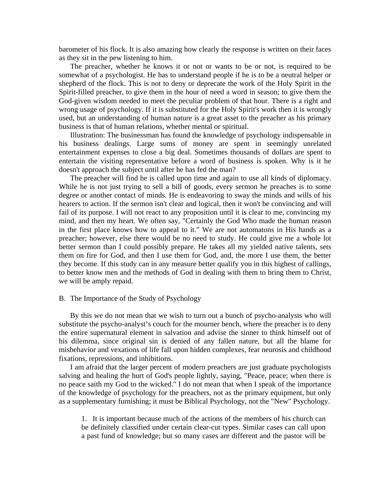barometer of his flock. It is also amazing how clearly the response is written on their faces as they sit in the pew listening to him.

 The preacher, whether he knows it or not or wants to be or not, is required to be somewhat of a psychologist. He has to understand people if he is to be a neutral helper or shepherd of the flock. This is not to deny or deprecate the work of the Holy Spirit in the Spirit-filled preacher, to give them in the hour of need a word in season; to give them the God-given wisdom needed to meet the peculiar problem of that hour. There is a right and wrong usage of psychology. If it is substituted for the Holy Spirit's work then it is wrongly used, but an understanding of human nature is a great asset to the preacher as his primary business is that of human relations, whether mental or spiritual.

 Illustration: The businessman has found the knowledge of psychology indispensable in his business dealings. Large sums of money are spent in seemingly unrelated entertainment expenses to close a big deal. Sometimes thousands of dollars are spent to entertain the visiting representative before a word of business is spoken. Why is it he doesn't approach the subject until after he has fed the man?

 The preacher will find he is called upon time and again to use all kinds of diplomacy. While he is not just trying to sell a bill of goods, every sermon he preaches is to some degree or another contact of minds. He is endeavoring to sway the minds and wills of his hearers to action. If the sermon isn't clear and logical, then it won't be convincing and will fail of its purpose. I will not react to any proposition until it is clear to me, convincing my mind, and then my heart. We often say, "Certainly the God Who made the human reason in the first place knows how to appeal to it." We are not automatons in His hands as a preacher; however, else there would be no need to study. He could give me a whole lot better sermon than I could possibly prepare. He takes all my yielded native talents, sets them on fire for God, and then I use them for God, and, the more I use them, the better they become. If this study can in any measure better qualify you in this highest of callings, to better know men and the methods of God in dealing with them to bring them to Christ, we will be amply repaid.

#### B. The Importance of the Study of Psychology

 By this we do not mean that we wish to turn out a bunch of psycho-analysts who will substitute the psycho-analyst's couch for the mourner bench, where the preacher is to deny the entire supernatural element in salvation and advise the sinner to think himself out of his dilemma, since original sin is denied of any fallen nature, but all the blame for misbehavior and vexations of life fall upon hidden complexes, fear neurosis and childhood fixations, repressions, and inhibitions.

 I am afraid that the larger percent of modern preachers are just graduate psychologists salving and healing the hurt of God's people lightly, saying, "Peace, peace; when there is no peace saith my God to the wicked." I do not mean that when I speak of the importance of the knowledge of psychology for the preachers, not as the primary equipment, but only as a supplementary furnishing; it must be Biblical Psychology, not the "New" Psychology.

1. It is important because much of the actions of the members of his church can be definitely classified under certain clear-cut types. Similar cases can call upon a past fund of knowledge; but so many cases are different and the pastor will be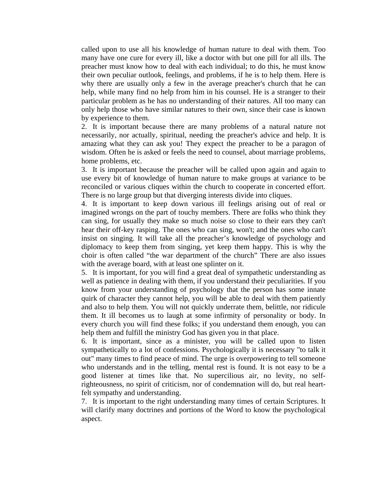called upon to use all his knowledge of human nature to deal with them. Too many have one cure for every ill, like a doctor with but one pill for all ills. The preacher must know how to deal with each individual; to do this, he must know their own peculiar outlook, feelings, and problems, if he is to help them. Here is why there are usually only a few in the average preacher's church that he can help, while many find no help from him in his counsel. He is a stranger to their particular problem as he has no understanding of their natures. All too many can only help those who have similar natures to their own, since their case is known by experience to them.

2. It is important because there are many problems of a natural nature not necessarily, nor actually, spiritual, needing the preacher's advice and help. It is amazing what they can ask you! They expect the preacher to be a paragon of wisdom. Often he is asked or feels the need to counsel, about marriage problems, home problems, etc.

3. It is important because the preacher will be called upon again and again to use every bit of knowledge of human nature to make groups at variance to be reconciled or various cliques within the church to cooperate in concerted effort. There is no large group but that diverging interests divide into cliques.

4. It is important to keep down various ill feelings arising out of real or imagined wrongs on the part of touchy members. There are folks who think they can sing, for usually they make so much noise so close to their ears they can't hear their off-key rasping. The ones who can sing, won't; and the ones who can't insist on singing. It will take all the preacher's knowledge of psychology and diplomacy to keep them from singing, yet keep them happy. This is why the choir is often called "the war department of the church" There are also issues with the average board, with at least one splinter on it.

5. It is important, for you will find a great deal of sympathetic understanding as well as patience in dealing with them, if you understand their peculiarities. If you know from your understanding of psychology that the person has some innate quirk of character they cannot help, you will be able to deal with them patiently and also to help them. You will not quickly underrate them, belittle, nor ridicule them. It ill becomes us to laugh at some infirmity of personality or body. In every church you will find these folks; if you understand them enough, you can help them and fulfill the ministry God has given you in that place.

6. It is important, since as a minister, you will be called upon to listen sympathetically to a lot of confessions. Psychologically it is necessary "to talk it out" many times to find peace of mind. The urge is overpowering to tell someone who understands and in the telling, mental rest is found. It is not easy to be a good listener at times like that. No supercilious air, no levity, no selfrighteousness, no spirit of criticism, nor of condemnation will do, but real heartfelt sympathy and understanding.

7. It is important to the right understanding many times of certain Scriptures. It will clarify many doctrines and portions of the Word to know the psychological aspect.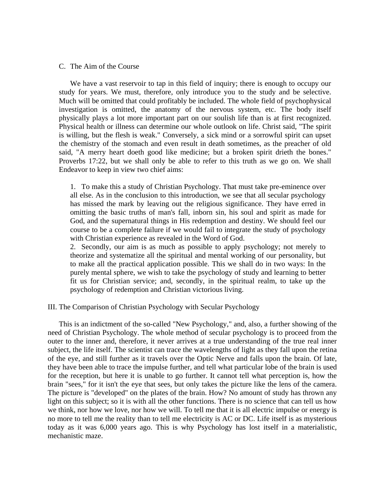#### C. The Aim of the Course

 We have a vast reservoir to tap in this field of inquiry; there is enough to occupy our study for years. We must, therefore, only introduce you to the study and be selective. Much will be omitted that could profitably be included. The whole field of psychophysical investigation is omitted, the anatomy of the nervous system, etc. The body itself physically plays a lot more important part on our soulish life than is at first recognized. Physical health or illness can determine our whole outlook on life. Christ said, "The spirit is willing, but the flesh is weak." Conversely, a sick mind or a sorrowful spirit can upset the chemistry of the stomach and even result in death sometimes, as the preacher of old said, "A merry heart doeth good like medicine; but a broken spirit drieth the bones." Proverbs 17:22, but we shall only be able to refer to this truth as we go on. We shall Endeavor to keep in view two chief aims:

1. To make this a study of Christian Psychology. That must take pre-eminence over all else. As in the conclusion to this introduction, we see that all secular psychology has missed the mark by leaving out the religious significance. They have erred in omitting the basic truths of man's fall, inborn sin, his soul and spirit as made for God, and the supernatural things in His redemption and destiny. We should feel our course to be a complete failure if we would fail to integrate the study of psychology with Christian experience as revealed in the Word of God.

2. Secondly, our aim is as much as possible to apply psychology; not merely to theorize and systematize all the spiritual and mental working of our personality, but to make all the practical application possible. This we shall do in two ways: In the purely mental sphere, we wish to take the psychology of study and learning to better fit us for Christian service; and, secondly, in the spiritual realm, to take up the psychology of redemption and Christian victorious living.

III. The Comparison of Christian Psychology with Secular Psychology

 This is an indictment of the so-called "New Psychology," and, also, a further showing of the need of Christian Psychology. The whole method of secular psychology is to proceed from the outer to the inner and, therefore, it never arrives at a true understanding of the true real inner subject, the life itself. The scientist can trace the wavelengths of light as they fall upon the retina of the eye, and still further as it travels over the Optic Nerve and falls upon the brain. Of late, they have been able to trace the impulse further, and tell what particular lobe of the brain is used for the reception, but here it is unable to go further. It cannot tell what perception is, how the brain "sees," for it isn't the eye that sees, but only takes the picture like the lens of the camera. The picture is "developed" on the plates of the brain. How? No amount of study has thrown any light on this subject; so it is with all the other functions. There is no science that can tell us how we think, nor how we love, nor how we will. To tell me that it is all electric impulse or energy is no more to tell me the reality than to tell me electricity is AC or DC. Life itself is as mysterious today as it was 6,000 years ago. This is why Psychology has lost itself in a materialistic, mechanistic maze.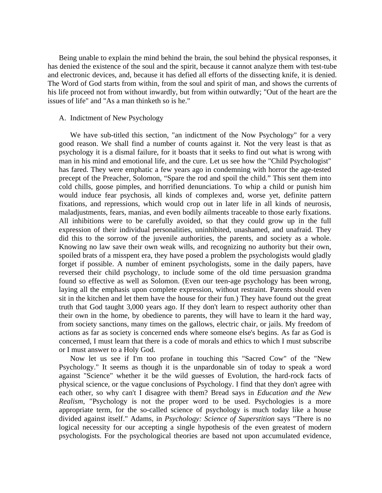Being unable to explain the mind behind the brain, the soul behind the physical responses, it has denied the existence of the soul and the spirit, because it cannot analyze them with test-tube and electronic devices, and, because it has defied all efforts of the dissecting knife, it is denied. The Word of God starts from within, from the soul and spirit of man, and shows the currents of his life proceed not from without inwardly, but from within outwardly; "Out of the heart are the issues of life" and "As a man thinketh so is he."

#### A. Indictment of New Psychology

 We have sub-titled this section, "an indictment of the Now Psychology" for a very good reason. We shall find a number of counts against it. Not the very least is that as psychology it is a dismal failure, for it boasts that it seeks to find out what is wrong with man in his mind and emotional life, and the cure. Let us see how the "Child Psychologist" has fared. They were emphatic a few years ago in condemning with horror the age-tested precept of the Preacher, Solomon, "Spare the rod and spoil the child." This sent them into cold chills, goose pimples, and horrified denunciations. To whip a child or punish him would induce fear psychosis, all kinds of complexes and, worse yet, definite pattern fixations, and repressions, which would crop out in later life in all kinds of neurosis, maladjustments, fears, manias, and even bodily ailments traceable to those early fixations. All inhibitions were to be carefully avoided, so that they could grow up in the full expression of their individual personalities, uninhibited, unashamed, and unafraid. They did this to the sorrow of the juvenile authorities, the parents, and society as a whole. Knowing no law save their own weak wills, and recognizing no authority but their own, spoiled brats of a misspent era, they have posed a problem the psychologists would gladly forget if possible. A number of eminent psychologists, some in the daily papers, have reversed their child psychology, to include some of the old time persuasion grandma found so effective as well as Solomon. (Even our teen-age psychology has been wrong, laying all the emphasis upon complete expression, without restraint. Parents should even sit in the kitchen and let them have the house for their fun.) They have found out the great truth that God taught 3,000 years ago. If they don't learn to respect authority other than their own in the home, by obedience to parents, they will have to learn it the hard way, from society sanctions, many times on the gallows, electric chair, or jails. My freedom of actions as far as society is concerned ends where someone else's begins. As far as God is concerned, I must learn that there is a code of morals and ethics to which I must subscribe or I must answer to a Holy God.

 Now let us see if I'm too profane in touching this "Sacred Cow" of the "New Psychology." It seems as though it is the unpardonable sin of today to speak a word against "Science" whether it be the wild guesses of Evolution, the hard-rock facts of physical science, or the vague conclusions of Psychology. I find that they don't agree with each other, so why can't I disagree with them? Bread says in *Education and the New Realism*, "Psychology is not the proper word to be used. Psychologies is a more appropriate term, for the so-called science of psychology is much today like a house divided against itself." Adams, in *Psychology: Science of Superstition* says "There is no logical necessity for our accepting a single hypothesis of the even greatest of modern psychologists. For the psychological theories are based not upon accumulated evidence,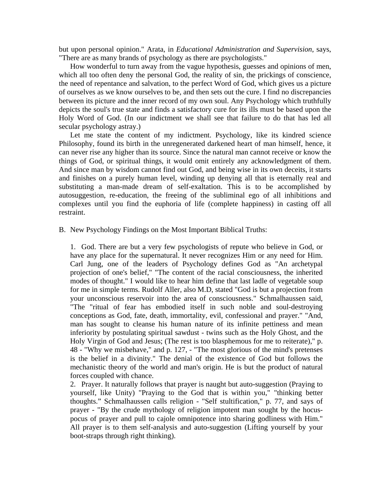but upon personal opinion." Arata, in *Educational Administration and Supervision*, says, "There are as many brands of psychology as there are psychologists."

 How wonderful to turn away from the vague hypothesis, guesses and opinions of men, which all too often deny the personal God, the reality of sin, the prickings of conscience, the need of repentance and salvation, to the perfect Word of God, which gives us a picture of ourselves as we know ourselves to be, and then sets out the cure. I find no discrepancies between its picture and the inner record of my own soul. Any Psychology which truthfully depicts the soul's true state and finds a satisfactory cure for its ills must be based upon the Holy Word of God. (In our indictment we shall see that failure to do that has led all secular psychology astray.)

 Let me state the content of my indictment. Psychology, like its kindred science Philosophy, found its birth in the unregenerated darkened heart of man himself, hence, it can never rise any higher than its source. Since the natural man cannot receive or know the things of God, or spiritual things, it would omit entirely any acknowledgment of them. And since man by wisdom cannot find out God, and being wise in its own deceits, it starts and finishes on a purely human level, winding up denying all that is eternally real and substituting a man-made dream of self-exaltation. This is to be accomplished by autosuggestion, re-education, the freeing of the subliminal ego of all inhibitions and complexes until you find the euphoria of life (complete happiness) in casting off all restraint.

B. New Psychology Findings on the Most Important Biblical Truths:

1. God. There are but a very few psychologists of repute who believe in God, or have any place for the supernatural. It never recognizes Him or any need for Him. Carl Jung, one of the leaders of Psychology defines God as "An archetypal projection of one's belief," "The content of the racial consciousness, the inherited modes of thought." I would like to hear him define that last ladle of vegetable soup for me in simple terms. Rudolf Aller, also M.D, stated "God is but a projection from your unconscious reservoir into the area of consciousness." Schmalhaussen said, "The "ritual of fear has embodied itself in such noble and soul-destroying conceptions as God, fate, death, immortality, evil, confessional and prayer." "And, man has sought to cleanse his human nature of its infinite pettiness and mean inferiority by postulating spiritual sawdust - twins such as the Holy Ghost, and the Holy Virgin of God and Jesus; (The rest is too blasphemous for me to reiterate)," p. 48 - "Why we misbehave," and p. 127, - "The most glorious of the mind's pretenses is the belief in a divinity." The denial of the existence of God but follows the mechanistic theory of the world and man's origin. He is but the product of natural forces coupled with chance.

2. Prayer. It naturally follows that prayer is naught but auto-suggestion (Praying to yourself, like Unity) "Praying to the God that is within you," "thinking better thoughts." Schmalhaussen calls religion - "Self stultification," p. 77, and says of prayer - "By the crude mythology of religion impotent man sought by the hocuspocus of prayer and pull to cajole omnipotence into sharing godliness with Him." All prayer is to them self-analysis and auto-suggestion (Lifting yourself by your boot-straps through right thinking).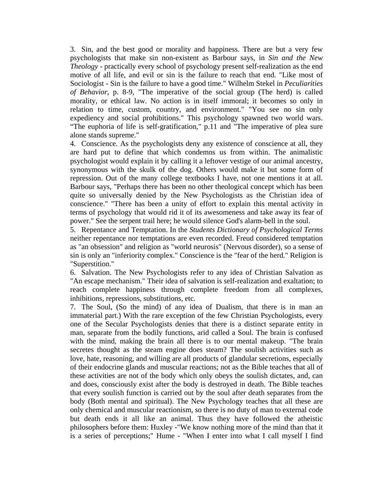3. Sin, and the best good or morality and happiness. There are but a very few psychologists that make sin non-existent as Barbour says, in *Sin and the New Theology* - practically every school of psychology present self-realization as the end motive of all life, and evil or sin is the failure to reach that end. "Like most of Sociologist - Sin is the failure to have a good time." Wilhelm Stekel in *Peculiarities of Behavior*, p. 8-9, "The imperative of the social group (The herd) is called morality, or ethical law. No action is in itself immoral; it becomes so only in relation to time, custom, country, and environment." "You see no sin only expediency and social prohibitions." This psychology spawned two world wars. "The euphoria of life is self-gratification," p.11 and "The imperative of plea sure alone stands supreme."

4. Conscience. As the psychologists deny any existence of conscience at all, they are hard put to define that which condemns us from within. The animalistic psychologist would explain it by calling it a leftover vestige of our animal ancestry, synonymous with the skulk of the dog. Others would make it but some form of repression. Out of the many college textbooks I have, not one mentions it at all. Barbour says, "Perhaps there has been no other theological concept which has been quite so universally denied by the New Psychologists as the Christian idea of conscience." "There has been a unity of effort to explain this mental activity in terms of psychology that would rid it of its awesomeness and take away its fear of power." See the serpent trail here; he would silence God's alarm-bell in the soul.

5. Repentance and Temptation. In the *Students Dictionary of Psychological Terms* neither repentance nor temptations are even recorded. Freud considered temptation as "an obsession" and religion as "world neurosis" (Nervous disorder), so a sense of sin is only an "inferiority complex." Conscience is the "fear of the herd." Religion is "Superstition."

6. Salvation. The New Psychologists refer to any idea of Christian Salvation as "An escape mechanism." Their idea of salvation is self-realization and exaltation; to reach complete happiness through complete freedom from all complexes, inhibitions, repressions, substitutions, etc.

7. The Soul, (So the mind) of any idea of Dualism, that there is in man an immaterial part.) With the rare exception of the few Christian Psychologists, every one of the Secular Psychologists denies that there is a distinct separate entity in man, separate from the bodily functions, arid called a Soul. The brain is confused with the mind, making the brain all there is to our mental makeup. "The brain secretes thought as the steam engine does steam? The soulish activities such as love, hate, reasoning, and willing are all products of glandular secretions, especially of their endocrine glands and muscular reactions; not as the Bible teaches that all of these activities are not of the body which only obeys the soulish dictates, and, can and does, consciously exist after the body is destroyed in death. The Bible teaches that every soulish function is carried out by the soul after death separates from the body (Both mental and spiritual). The New Psychology teaches that all these are only chemical and muscular reactionism, so there is no duty of man to external code but death ends it all like an animal. Thus they have followed the atheistic philosophers before them: Huxley -"We know nothing more of the mind than that it is a series of perceptions;" Hume - "When I enter into what I call myself I find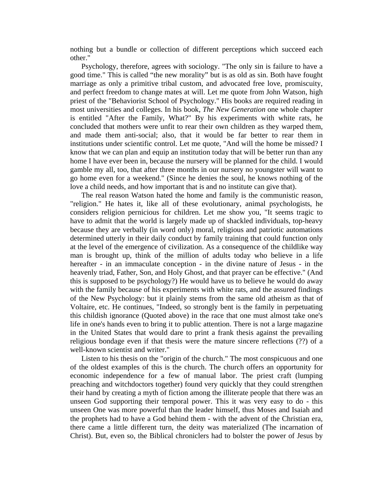nothing but a bundle or collection of different perceptions which succeed each other."

 Psychology, therefore, agrees with sociology. "The only sin is failure to have a good time." This is called "the new morality" but is as old as sin. Both have fought marriage as only a primitive tribal custom, and advocated free love, promiscuity, and perfect freedom to change mates at will. Let me quote from John Watson, high priest of the "Behaviorist School of Psychology." His books are required reading in most universities and colleges. In his book, *The New Generation* one whole chapter is entitled "After the Family, What?" By his experiments with white rats, he concluded that mothers were unfit to rear their own children as they warped them, and made them anti-social; also, that it would be far better to rear them in institutions under scientific control. Let me quote, "And will the home be missed? I know that we can plan and equip an institution today that will be better run than any home I have ever been in, because the nursery will be planned for the child. I would gamble my all, too, that after three months in our nursery no youngster will want to go home even for a weekend." (Since he denies the soul, he knows nothing of the love a child needs, and how important that is and no institute can give that).

 The real reason Watson hated the home and family is the communistic reason, "religion." He hates it, like all of these evolutionary, animal psychologists, he considers religion pernicious for children. Let me show you, "It seems tragic to have to admit that the world is largely made up of shackled individuals, top-heavy because they are verbally (in word only) moral, religious and patriotic automations determined utterly in their daily conduct by family training that could function only at the level of the emergence of civilization. As a consequence of the childlike way man is brought up, think of the million of adults today who believe in a life hereafter - in an immaculate conception - in the divine nature of Jesus - in the heavenly triad, Father, Son, and Holy Ghost, and that prayer can be effective." (And this is supposed to be psychology?) He would have us to believe he would do away with the family because of his experiments with white rats, and the assured findings of the New Psychology: but it plainly stems from the same old atheism as that of Voltaire, etc. He continues, "Indeed, so strongly bent is the family in perpetuating this childish ignorance (Quoted above) in the race that one must almost take one's life in one's hands even to bring it to public attention. There is not a large magazine in the United States that would dare to print a frank thesis against the prevailing religious bondage even if that thesis were the mature sincere reflections (??) of a well-known scientist and writer."

 Listen to his thesis on the "origin of the church." The most conspicuous and one of the oldest examples of this is the church. The church offers an opportunity for economic independence for a few of manual labor. The priest craft (lumping preaching and witchdoctors together) found very quickly that they could strengthen their hand by creating a myth of fiction among the illiterate people that there was an unseen God supporting their temporal power. This it was very easy to do - this unseen One was more powerful than the leader himself, thus Moses and Isaiah and the prophets had to have a God behind them - with the advent of the Christian era, there came a little different turn, the deity was materialized (The incarnation of Christ). But, even so, the Biblical chroniclers had to bolster the power of Jesus by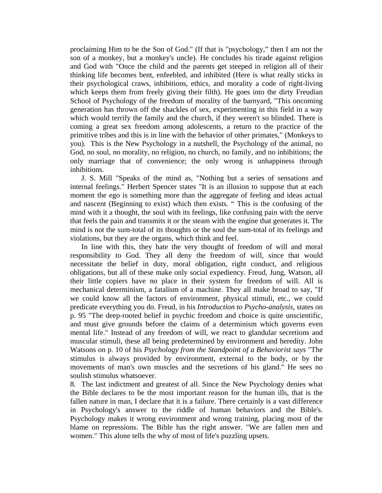proclaiming Him to be the Son of God." (If that is "psychology," then I am not the son of a monkey, but a monkey's uncle). He concludes his tirade against religion and God with "Once the child and the parents get steeped in religion all of their thinking life becomes bent, enfeebled, and inhibited (Here is what really sticks in their psychological craws, inhibitions, ethics, and morality a code of right-living which keeps them from freely giving their filth). He goes into the dirty Freudian School of Psychology of the freedom of morality of the barnyard, "This oncoming generation has thrown off the shackles of sex, experimenting in this field in a way which would terrify the family and the church, if they weren't so blinded. There is coming a great sex freedom among adolescents, a return to the practice of the primitive tribes and this is in line with the behavior of other primates," (Monkeys to you). This is the New Psychology in a nutshell, the Psychology of the animal, no God, no soul, no morality, no religion, no church, no family, and no inhibitions; the only marriage that of convenience; the only wrong is unhappiness through inhibitions.

 J. S. Mill "Speaks of the mind as, "Nothing but a series of sensations and internal feelings." Herbert Spencer states "It is an illusion to suppose that at each moment the ego is something more than the aggregate of feeling and ideas actual and nascent (Beginning to exist) which then exists. " This is the confusing of the mind with it a thought, the soul with its feelings, like confusing pain with the nerve that feels the pain and transmits it or the steam with the engine that generates it. The mind is not the sum-total of its thoughts or the soul the sum-total of its feelings and violations, but they are the organs, which think and feel.

 In line with this, they hate the very thought of freedom of will and moral responsibility to God. They all deny the freedom of will, since that would necessitate the belief in duty, moral obligation, right conduct, and religious obligations, but all of these make only social expediency. Freud, Jung, Watson, all their little copiers have no place in their system for freedom of will. All is mechanical determinism, a fatalism of a machine. They all make broad to say, "If we could know all the factors of environment, physical stimuli, etc., we could predicate everything you do. Freud, in his *Introduction to Psycho-analysis*, states on p. 95 "The deep-rooted belief in psychic freedom and choice is quite unscientific, and must give grounds before the claims of a determinism which governs even mental life." Instead of any freedom of will, we react to glandular secretions and muscular stimuli, these all being predetermined by environment and heredity. John Watsons on p. 10 of his *Psychology from the Standpoint of a Behaviorist says* "The stimulus is always provided by environment, external to the body, or by the movements of man's own muscles and the secretions of his gland." He sees no soulish stimulus whatsoever.

8. The last indictment and greatest of all. Since the New Psychology denies what the Bible declares to be the most important reason for the human ills, that is the fallen nature in man, I declare that it is a failure. There certainly is a vast difference in Psychology's answer to the riddle of human behaviors and the Bible's. Psychology makes it wrong environment and wrong training, placing most of the blame on repressions. The Bible has the right answer. "We are fallen men and women." This alone tells the why of most of life's puzzling upsets.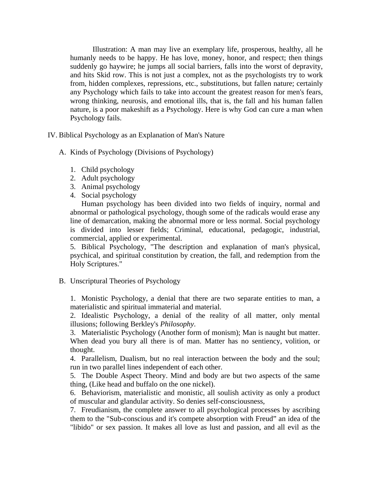Illustration: A man may live an exemplary life, prosperous, healthy, all he humanly needs to be happy. He has love, money, honor, and respect; then things suddenly go haywire; he jumps all social barriers, falls into the worst of depravity, and hits Skid row. This is not just a complex, not as the psychologists try to work from, hidden complexes, repressions, etc., substitutions, but fallen nature; certainly any Psychology which fails to take into account the greatest reason for men's fears, wrong thinking, neurosis, and emotional ills, that is, the fall and his human fallen nature, is a poor makeshift as a Psychology. Here is why God can cure a man when Psychology fails.

IV. Biblical Psychology as an Explanation of Man's Nature

A. Kinds of Psychology (Divisions of Psychology)

- 1. Child psychology
- 2. Adult psychology
- 3. Animal psychology
- 4. Social psychology

 Human psychology has been divided into two fields of inquiry, normal and abnormal or pathological psychology, though some of the radicals would erase any line of demarcation, making the abnormal more or less normal. Social psychology is divided into lesser fields; Criminal, educational, pedagogic, industrial, commercial, applied or experimental.

5. Biblical Psychology, "The description and explanation of man's physical, psychical, and spiritual constitution by creation, the fall, and redemption from the Holy Scriptures."

# B. Unscriptural Theories of Psychology

1. Monistic Psychology, a denial that there are two separate entities to man, a materialistic and spiritual immaterial and material.

2. Idealistic Psychology, a denial of the reality of all matter, only mental illusions; following Berkley's *Philosophy*.

3. Materialistic Psychology (Another form of monism); Man is naught but matter. When dead you bury all there is of man. Matter has no sentiency, volition, or thought.

4. Parallelism, Dualism, but no real interaction between the body and the soul; run in two parallel lines independent of each other.

5. The Double Aspect Theory. Mind and body are but two aspects of the same thing, (Like head and buffalo on the one nickel).

6. Behaviorism, materialistic and monistic, all soulish activity as only a product of muscular and glandular activity. So denies self-consciousness,

7. Freudianism, the complete answer to all psychological processes by ascribing them to the "Sub-conscious and it's compete absorption with Freud" an idea of the "libido" or sex passion. It makes all love as lust and passion, and all evil as the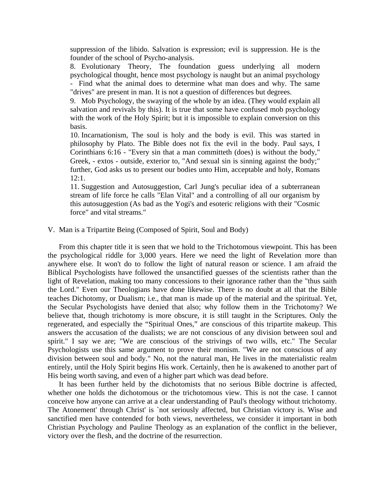suppression of the libido. Salvation is expression; evil is suppression. He is the founder of the school of Psycho-analysis.

8. Evolutionary Theory, The foundation guess underlying all modern psychological thought, hence most psychology is naught but an animal psychology - Find what the animal does to determine what man does and why. The same "drives" are present in man. It is not a question of differences but degrees.

9. Mob Psychology, the swaying of the whole by an idea. (They would explain all salvation and revivals by this). It is true that some have confused mob psychology with the work of the Holy Spirit; but it is impossible to explain conversion on this basis.

10. Incarnationism, The soul is holy and the body is evil. This was started in philosophy by Plato. The Bible does not fix the evil in the body. Paul says, I Corinthians 6:16 - "Every sin that a man committeth (does) is without the body," Greek, - extos - outside, exterior to, "And sexual sin is sinning against the body;" further, God asks us to present our bodies unto Him, acceptable and holy, Romans 12:1.

11. Suggestion and Autosuggestion, Carl Jung's peculiar idea of a subterranean stream of life force he calls "Elan Vital" and a controlling of all our organism by this autosuggestion (As bad as the Yogi's and esoteric religions with their "Cosmic force" and vital streams."

# V. Man is a Tripartite Being (Composed of Spirit, Soul and Body)

 From this chapter title it is seen that we hold to the Trichotomous viewpoint. This has been the psychological riddle for 3,000 years. Here we need the light of Revelation more than anywhere else. It won't do to follow the light of natural reason or science. I am afraid the Biblical Psychologists have followed the unsanctified guesses of the scientists rather than the light of Revelation, making too many concessions to their ignorance rather than the "thus saith the Lord." Even our Theologians have done likewise. There is no doubt at all that the Bible teaches Dichotomy, or Dualism; i.e., that man is made up of the material and the spiritual. Yet, the Secular Psychologists have denied that also; why follow them in the Trichotomy? We believe that, though trichotomy is more obscure, it is still taught in the Scriptures. Only the regenerated, and especially the "Spiritual Ones," are conscious of this tripartite makeup. This answers the accusation of the dualists; we are not conscious of any division between soul and spirit." I say we are; "We are conscious of the strivings of two wills, etc." The Secular Psychologists use this same argument to prove their monism. "We are not conscious of any division between soul and body." No, not the natural man, He lives in the materialistic realm entirely, until the Holy Spirit begins His work. Certainly, then he is awakened to another part of His being worth saving, and even of a higher part which was dead before.

 It has been further held by the dichotomists that no serious Bible doctrine is affected, whether one holds the dichotomous or the trichotomous view. This is not the case. I cannot conceive how anyone can arrive at a clear understanding of Paul's theology without trichotomy. The Atonement' through Christ' is `not seriously affected, but Christian victory is. Wise and sanctified men have contended for both views, nevertheless, we consider it important in both Christian Psychology and Pauline Theology as an explanation of the conflict in the believer, victory over the flesh, and the doctrine of the resurrection.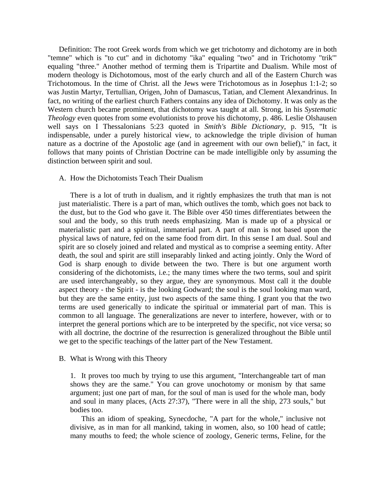Definition: The root Greek words from which we get trichotomy and dichotomy are in both "temne" which is "to cut" and in dichotomy "ika" equaling "two" and in Trichotomy "trik'" equaling "three." Another method of terming them is Tripartite and Dualism. While most of modern theology is Dichotomous, most of the early church and all of the Eastern Church was Trichotomous. In the time of Christ. all the Jews were Trichotomous as in Josephus 1:1-2; so was Justin Martyr, Tertullian, Origen, John of Damascus, Tatian, and Clement Alexandrinus. In fact, no writing of the earliest church Fathers contains any idea of Dichotomy. It was only as the Western church became prominent, that dichotomy was taught at all. Strong, in his *Systematic Theology* even quotes from some evolutionists to prove his dichotomy, p. 486. Leslie Olshausen well says on I Thessalonians 5:23 quoted in *Smith's Bible Dictionary*, p. 915, "It is indispensable, under a purely historical view, to acknowledge the triple division of human nature as a doctrine of the Apostolic age (and in agreement with our own belief)," in fact, it follows that many points of Christian Doctrine can be made intelligible only by assuming the distinction between spirit and soul.

## A. How the Dichotomists Teach Their Dualism

 There is a lot of truth in dualism, and it rightly emphasizes the truth that man is not just materialistic. There is a part of man, which outlives the tomb, which goes not back to the dust, but to the God who gave it. The Bible over 450 times differentiates between the soul and the body, so this truth needs emphasizing. Man is made up of a physical or materialistic part and a spiritual, immaterial part. A part of man is not based upon the physical laws of nature, fed on the same food from dirt. In this sense I am dual. Soul and spirit are so closely joined and related and mystical as to comprise a seeming entity. After death, the soul and spirit are still inseparably linked and acting jointly. Only the Word of God is sharp enough to divide between the two. There is but one argument worth considering of the dichotomists, i.e.; the many times where the two terms, soul and spirit are used interchangeably, so they argue, they are synonymous. Most call it the double aspect theory - the Spirit - is the looking Godward; the soul is the soul looking man ward, but they are the same entity, just two aspects of the same thing. I grant you that the two terms are used generically to indicate the spiritual or immaterial part of man. This is common to all language. The generalizations are never to interfere, however, with or to interpret the general portions which are to be interpreted by the specific, not vice versa; so with all doctrine, the doctrine of the resurrection is generalized throughout the Bible until we get to the specific teachings of the latter part of the New Testament.

#### B. What is Wrong with this Theory

1. It proves too much by trying to use this argument, "Interchangeable tart of man shows they are the same." You can grove unochotomy or monism by that same argument; just one part of man, for the soul of man is used for the whole man, body and soul in many places, (Acts 27:37), "There were in all the ship, 273 souls," but bodies too.

 This an idiom of speaking, Synecdoche, "A part for the whole," inclusive not divisive, as in man for all mankind, taking in women, also, so 100 head of cattle; many mouths to feed; the whole science of zoology, Generic terms, Feline, for the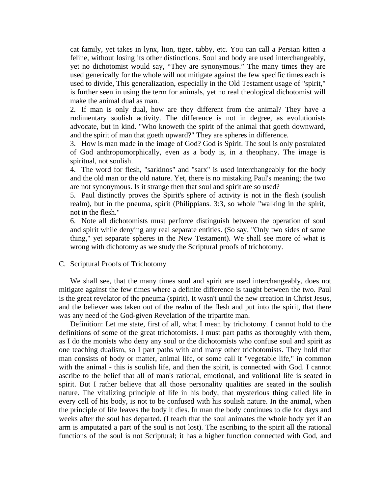cat family, yet takes in lynx, lion, tiger, tabby, etc. You can call a Persian kitten a feline, without losing its other distinctions. Soul and body are used interchangeably, yet no dichotomist would say, "They are synonymous." The many times they are used generically for the whole will not mitigate against the few specific times each is used to divide, This generalization, especially in the Old Testament usage of "spirit," is further seen in using the term for animals, yet no real theological dichotomist will make the animal dual as man.

2. If man is only dual, how are they different from the animal? They have a rudimentary soulish activity. The difference is not in degree, as evolutionists advocate, but in kind. "Who knoweth the spirit of the animal that goeth downward, and the spirit of man that goeth upward?" They are spheres in difference.

3. How is man made in the image of God? God is Spirit. The soul is only postulated of God anthropomorphically, even as a body is, in a theophany. The image is spiritual, not soulish.

4. The word for flesh, "sarkinos" and "sarx" is used interchangeably for the body and the old man or the old nature. Yet, there is no mistaking Paul's meaning; the two are not synonymous. Is it strange then that soul and spirit are so used?

5. Paul distinctly proves the Spirit's sphere of activity is not in the flesh (soulish realm), but in the pneuma, spirit (Philippians. 3:3, so whole "walking in the spirit, not in the flesh."

6. Note all dichotomists must perforce distinguish between the operation of soul and spirit while denying any real separate entities. (So say, "Only two sides of same thing," yet separate spheres in the New Testament). We shall see more of what is wrong with dichotomy as we study the Scriptural proofs of trichotomy.

#### C. Scriptural Proofs of Trichotomy

 We shall see, that the many times soul and spirit are used interchangeably, does not mitigate against the few times where a definite difference is taught between the two. Paul is the great revelator of the pneuma (spirit). It wasn't until the new creation in Christ Jesus, and the believer was taken out of the realm of the flesh and put into the spirit, that there was any need of the God-given Revelation of the tripartite man.

 Definition: Let me state, first of all, what I mean by trichotomy. I cannot hold to the definitions of some of the great trichotomists. I must part paths as thoroughly with them, as I do the monists who deny any soul or the dichotomists who confuse soul and spirit as one teaching dualism, so I part paths with and many other trichotomists. They hold that man consists of body or matter, animal life, or some call it "vegetable life," in common with the animal - this is soulish life, and then the spirit, is connected with God. I cannot ascribe to the belief that all of man's rational, emotional, and volitional life is seated in spirit. But I rather believe that all those personality qualities are seated in the soulish nature. The vitalizing principle of life in his body, that mysterious thing called life in every cell of his body, is not to be confused with his soulish nature. In the animal, when the principle of life leaves the body it dies. In man the body continues to die for days and weeks after the soul has departed. (I teach that the soul animates the whole body yet if an arm is amputated a part of the soul is not lost). The ascribing to the spirit all the rational functions of the soul is not Scriptural; it has a higher function connected with God, and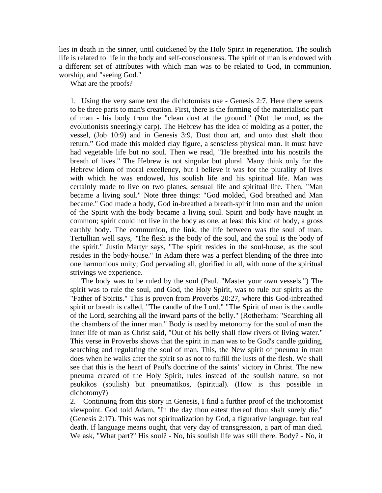lies in death in the sinner, until quickened by the Holy Spirit in regeneration. The soulish life is related to life in the body and self-consciousness. The spirit of man is endowed with a different set of attributes with which man was to be related to God, in communion, worship, and "seeing God."

What are the proofs?

1. Using the very same text the dichotomists use - Genesis 2:7. Here there seems to be three parts to man's creation. First, there is the forming of the materialistic part of man - his body from the "clean dust at the ground." (Not the mud, as the evolutionists sneeringly carp). The Hebrew has the idea of molding as a potter, the vessel, (Job 10:9) and in Genesis 3:9, Dust thou art, and unto dust shalt thou return." God made this molded clay figure, a senseless physical man. It must have had vegetable life but no soul. Then we read, "He breathed into his nostrils the breath of lives." The Hebrew is not singular but plural. Many think only for the Hebrew idiom of moral excellency, but I believe it was for the plurality of lives with which he was endowed, his soulish life and his spiritual life. Man was certainly made to live on two planes, sensual life and spiritual life. Then, "Man became a living soul." Note three things: "God molded, God breathed and Man became." God made a body, God in-breathed a breath-spirit into man and the union of the Spirit with the body became a living soul. Spirit and body have naught in common; spirit could not live in the body as one, at least this kind of body, a gross earthly body. The communion, the link, the life between was the soul of man. Tertullian well says, "The flesh is the body of the soul, and the soul is the body of the spirit." Justin Martyr says, "The spirit resides in the soul-house, as the soul resides in the body-house." In Adam there was a perfect blending of the three into one harmonious unity; God pervading all, glorified in all, with none of the spiritual strivings we experience.

 The body was to be ruled by the soul (Paul, "Master your own vessels.") The spirit was to rule the soul, and God, the Holy Spirit, was to rule our spirits as the "Father of Spirits." This is proven from Proverbs 20:27, where this God-inbreathed spirit or breath is called, "The candle of the Lord." "The Spirit of man is the candle of the Lord, searching all the inward parts of the belly." (Rotherham: "Searching all the chambers of the inner man." Body is used by metonomy for the soul of man the inner life of man as Christ said, "Out of his belly shall flow rivers of living water." This verse in Proverbs shows that the spirit in man was to be God's candle guiding, searching and regulating the soul of man. This, the New spirit of pneuma in man does when he walks after the spirit so as not to fulfill the lusts of the flesh. We shall see that this is the heart of Paul's doctrine of the saints' victory in Christ. The new pneuma created of the Holy Spirit, rules instead of the soulish nature, so not psukikos (soulish) but pneumatikos, (spiritual). (How is this possible in dichotomy?)

2. Continuing from this story in Genesis, I find a further proof of the trichotomist viewpoint. God told Adam, "In the day thou eatest thereof thou shalt surely die." (Genesis 2:17). This was not spiritualization by God, a figurative language, but real death. If language means ought, that very day of transgression, a part of man died. We ask, "What part?" His soul? - No, his soulish life was still there. Body? - No, it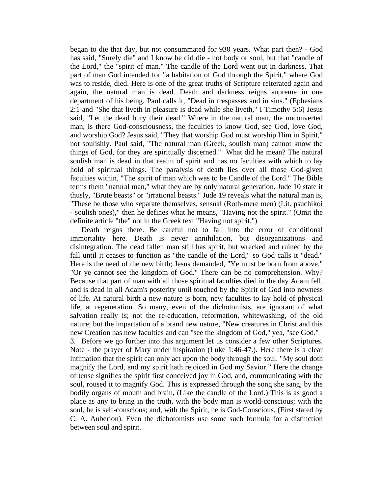began to die that day, but not consummated for 930 years. What part then? - God has said, "Surely die" and I know he did die - not body or soul, but that "candle of the Lord," the "spirit of man." The candle of the Lord went out in darkness. That part of man God intended for "a habitation of God through the Spirit," where God was to reside, died. Here is one of the great truths of Scripture reiterated again and again, the natural man is dead. Death and darkness reigns supreme in one department of his being. Paul calls it, "Dead in trespasses and in sins." (Ephesians 2:1 and "She that liveth in pleasure is dead while she liveth," I Timothy 5:6) Jesus said, "Let the dead bury their dead." Where in the natural man, the unconverted man, is there God-consciousness, the faculties to know God, see God, love God, and worship God? Jesus said, "They that worship God must worship Him in Spirit," not soulishly. Paul said, "The natural man (Greek, soulish man) cannot know the things of God, for they are spiritually discerned." What did he mean? The natural soulish man is dead in that realm of spirit and has no faculties with which to lay hold of spiritual things. The paralysis of death lies over all those God-given faculties within, "The spirit of man which was to be Candle of the Lord." The Bible terms them "natural man," what they are by only natural generation. Jude 10 state it thusly, "Brute beasts" or "irrational beasts." Jude 19 reveals what the natural man is, "These be those who separate themselves, sensual (Roth-mere men) (Lit. psuchikoi - soulish ones)," then he defines what he means, "Having not the spirit." (Omit the definite article "the" not in the Greek text "Having not spirit.")

 Death reigns there. Be careful not to fall into the error of conditional immortality here. Death is never annihilation, but disorganizations and disintegration. The dead fallen man still has spirit, but wrecked and ruined by the fall until it ceases to function as "the candle of the Lord," so God calls it "dead." Here is the need of the new birth; Jesus demanded, "Ye must be born from above," "Or ye cannot see the kingdom of God." There can be no comprehension. Why? Because that part of man with all those spiritual faculties died in the day Adam fell, and is dead in all Adam's posterity until touched by the Spirit of God into newness of life. At natural birth a new nature is born, new faculties to lay hold of physical life, at regeneration. So many, even of the dichotomists, are ignorant of what salvation really is; not the re-education, reformation, whitewashing, of the old nature; but the impartation of a brand new nature, "New creatures in Christ and this new Creation has new faculties and can "see the kingdom of God," yea, "see God."

3. Before we go further into this argument let us consider a few other Scriptures. Note - the prayer of Mary under inspiration (Luke 1:46-47.). Here there is a clear intimation that the spirit can only act upon the body through the soul. "My soul doth magnify the Lord, and my spirit hath rejoiced in God my Savior." Here the change of tense signifies the spirit first conceived joy in God, and, communicating with the soul, roused it to magnify God. This is expressed through the song she sang, by the bodily organs of mouth and brain, (Like the candle of the Lord.) This is as good a place as any to bring in the truth, with the body man is world-conscious; with the soul, he is self-conscious; and, with the Spirit, he is God-Conscious, (First stated by C. A. Auberion). Even the dichotomists use some such formula for a distinction between soul and spirit.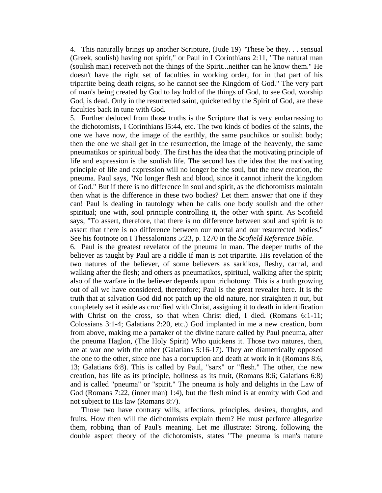4. This naturally brings up another Scripture, (Jude 19) "These be they. . . sensual (Greek, soulish) having not spirit," or Paul in I Corinthians 2:11, "The natural man (soulish man) receiveth not the things of the Spirit...neither can he know them." He doesn't have the right set of faculties in working order, for in that part of his tripartite being death reigns, so he cannot see the Kingdom of God." The very part of man's being created by God to lay hold of the things of God, to see God, worship God, is dead. Only in the resurrected saint, quickened by the Spirit of God, are these faculties back in tune with God.

5. Further deduced from those truths is the Scripture that is very embarrassing to the dichotomists, I Corinthians l5:44, etc. The two kinds of bodies of the saints, the one we have now, the image of the earthly, the same psuchikos or soulish body; then the one we shall get in the resurrection, the image of the heavenly, the same pneumatikos or spiritual body. The first has the idea that the motivating principle of life and expression is the soulish life. The second has the idea that the motivating principle of life and expression will no longer be the soul, but the new creation, the pneuma. Paul says, "No longer flesh and blood, since it cannot inherit the kingdom of God." But if there is no difference in soul and spirit, as the dichotomists maintain then what is the difference in these two bodies? Let them answer that one if they can! Paul is dealing in tautology when he calls one body soulish and the other spiritual; one with, soul principle controlling it, the other with spirit. As Scofield says, "To assert, therefore, that there is no difference between soul and spirit is to assert that there is no difference between our mortal and our resurrected bodies." See his footnote on I Thessalonians 5:23, p. 1270 in the *Scofield Reference Bible*.

6. Paul is the greatest revelator of the pneuma in man. The deeper truths of the believer as taught by Paul are a riddle if man is not tripartite. His revelation of the two natures of the believer, of some believers as sarkikos, fleshy, carnal, and walking after the flesh; and others as pneumatikos, spiritual, walking after the spirit; also of the warfare in the believer depends upon trichotomy. This is a truth growing out of all we have considered, theretofore; Paul is the great revealer here. It is the truth that at salvation God did not patch up the old nature, nor straighten it out, but completely set it aside as crucified with Christ, assigning it to death in identification with Christ on the cross, so that when Christ died, I died. (Romans 6:1-11; Colossians 3:1-4; Galatians 2:20, etc.) God implanted in me a new creation, born from above, making me a partaker of the divine nature called by Paul pneuma, after the pneuma Haglon, (The Holy Spirit) Who quickens it. Those two natures, then, are at war one with the other (Galatians 5:16-17). They are diametrically opposed the one to the other, since one has a corruption and death at work in it (Romans 8:6, 13; Galatians 6:8). This is called by Paul, "sarx" or "flesh." The other, the new creation, has life as its principle, holiness as its fruit, (Romans 8:6; Galatians 6:8) and is called "pneuma" or "spirit." The pneuma is holy and delights in the Law of God (Romans 7:22, (inner man) 1:4), but the flesh mind is at enmity with God and not subject to His law (Romans 8:7).

 Those two have contrary wills, affections, principles, desires, thoughts, and fruits. How then will the dichotomists explain them? He must perforce allegorize them, robbing than of Paul's meaning. Let me illustrate: Strong, following the double aspect theory of the dichotomists, states "The pneuma is man's nature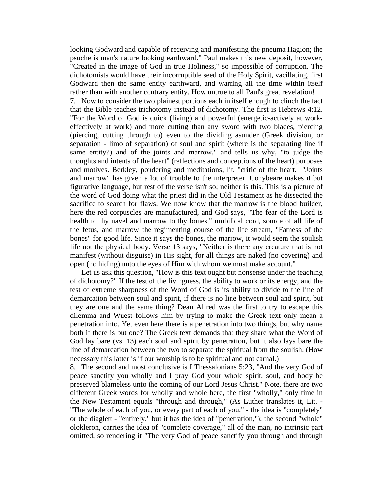looking Godward and capable of receiving and manifesting the pneuma Hagion; the psuche is man's nature looking earthward." Paul makes this new deposit, however, "Created in the image of God in true Holiness," so impossible of corruption. The dichotomists would have their incorruptible seed of the Holy Spirit, vacillating, first Godward then the same entity earthward, and warring all the time within itself rather than with another contrary entity. How untrue to all Paul's great revelation!

7. Now to consider the two plainest portions each in itself enough to clinch the fact that the Bible teaches trichotomy instead of dichotomy. The first is Hebrews 4:12. "For the Word of God is quick (living) and powerful (energetic-actively at workeffectively at work) and more cutting than any sword with two blades, piercing (piercing, cutting through to) even to the dividing asunder (Greek division, or separation - limo of separation) of soul and spirit (where is the separating line if same entity?) and of the joints and marrow," and tells us why, "to judge the thoughts and intents of the heart" (reflections and conceptions of the heart) purposes and motives. Berkley, pondering and meditations, lit. "critic of the heart. "Joints and marrow" has given a lot of trouble to the interpreter. Conybeare makes it but figurative language, but rest of the verse isn't so; neither is this. This is a picture of the word of God doing what the priest did in the Old Testament as he dissected the sacrifice to search for flaws. We now know that the marrow is the blood builder, here the red corpuscles are manufactured, and God says, "The fear of the Lord is health to thy navel and marrow to thy bones," umbilical cord, source of all life of the fetus, and marrow the regimenting course of the life stream, "Fatness of the bones" for good life. Since it says the bones, the marrow, it would seem the soulish life not the physical body. Verse 13 says, "Neither is there any creature that is not manifest (without disguise) in His sight, for all things are naked (no covering) and open (no hiding) unto the eyes of Him with whom we must make account."

 Let us ask this question, "How is this text ought but nonsense under the teaching of dichotomy?" If the test of the livingness, the ability to work or its energy, and the test of extreme sharpness of the Word of God is its ability to divide to the line of demarcation between soul and spirit, if there is no line between soul and spirit, but they are one and the same thing? Dean Alfred was the first to try to escape this dilemma and Wuest follows him by trying to make the Greek text only mean a penetration into. Yet even here there is a penetration into two things, but why name both if there is but one? The Greek text demands that they share what the Word of God lay bare (vs. 13) each soul and spirit by penetration, but it also lays bare the line of demarcation between the two to separate the spiritual from the soulish. (How necessary this latter is if our worship is to be spiritual and not carnal.)

8. The second and most conclusive is I Thessalonians 5:23, "And the very God of peace sanctify you wholly and I pray God your whole spirit, soul, and body be preserved blameless unto the coming of our Lord Jesus Christ." Note, there are two different Greek words for wholly and whole here, the first "wholly," only time in the New Testament equals "through and through," (As Luther translates it, Lit. - "The whole of each of you, or every part of each of you," - the idea is "completely" or the diaglett - "entirely," but it has the idea of "penetration,"); the second "whole" olokleron, carries the idea of "complete coverage," all of the man, no intrinsic part omitted, so rendering it "The very God of peace sanctify you through and through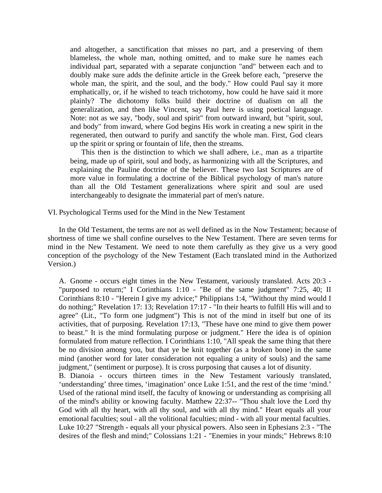and altogether, a sanctification that misses no part, and a preserving of them blameless, the whole man, nothing omitted, and to make sure he names each individual part, separated with a separate conjunction "and" between each and to doubly make sure adds the definite article in the Greek before each, "preserve the whole man, the spirit, and the soul, and the body." How could Paul say it more emphatically, or, if he wished to teach trichotomy, how could he have said it more plainly? The dichotomy folks build their doctrine of dualism on all the generalization, and then like Vincent, say Paul here is using poetical language. Note: not as we say, "body, soul and spirit" from outward inward, but "spirit, soul, and body" from inward, where God begins His work in creating a new spirit in the regenerated, then outward to purify and sanctify the whole man. First, God clears up the spirit or spring or fountain of life, then the streams.

 This then is the distinction to which we shall adhere, i.e., man as a tripartite being, made up of spirit, soul and body, as harmonizing with all the Scriptures, and explaining the Pauline doctrine of the believer. These two last Scriptures are of more value in formulating a doctrine of the Biblical psychology of man's nature than all the Old Testament generalizations where spirit and soul are used interchangeably to designate the immaterial part of men's nature.

VI. Psychological Terms used for the Mind in the New Testament

 In the Old Testament, the terms are not as well defined as in the Now Testament; because of shortness of time we shall confine ourselves to the New Testament. There are seven terms for mind in the New Testament. We need to note them carefully as they give us a very good conception of the psychology of the New Testament (Each translated mind in the Authorized Version.)

A. Gnome - occurs eight times in the New Testament, variously translated. Acts 20:3 - "purposed to return;" I Corinthians 1:10 - "Be of the same judgment" 7:25, 40; II Corinthians 8:10 - "Herein I give my advice;" Philippians 1:4, "Without thy mind would I do nothing;" Revelation 17: 13; Revelation 17:17 - "In their hearts to fulfill His will and to agree" (Lit., "To form one judgment") This is not of the mind in itself but one of its activities, that of purposing. Revelation 17:13, "These have one mind to give them power to beast." It is the mind formulating purpose or judgment." Here the idea is of opinion formulated from mature reflection. I Corinthians 1:10, "All speak the same thing that there be no division among you, but that ye be knit together (as a broken bone) in the same mind (another word for later consideration not equaling a unity of souls) and the same judgment," (sentiment or purpose). It is cross purposing that causes a lot of disunity. B. Dianoia - occurs thirteen times in the New Testament variously translated,

'understanding' three times, 'imagination' once Luke 1:51, and the rest of the time 'mind.' Used of the rational mind itself, the faculty of knowing or understanding as comprising all of the mind's ability or knowing faculty. Matthew 22:37-- "Thou shalt love the Lord thy God with all thy heart, with all thy soul, and with all thy mind." Heart equals all your emotional faculties; soul - all the volitional faculties; mind - with all your mental faculties. Luke 10:27 "Strength - equals all your physical powers. Also seen in Ephesians 2:3 - "The desires of the flesh and mind;" Colossians 1:21 - "Enemies in your minds;" Hebrews 8:10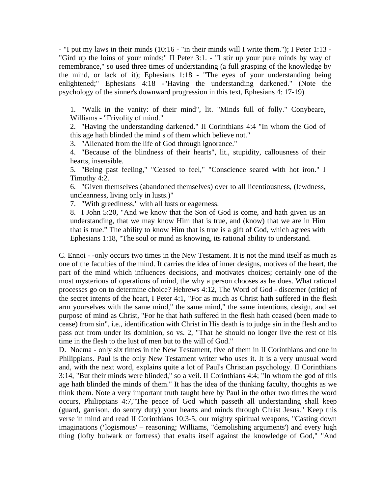- "I put my laws in their minds (10:16 - "in their minds will I write them."); I Peter 1:13 - "Gird up the loins of your minds;" II Peter 3:1. - "I stir up your pure minds by way of remembrance," so used three times of understanding (a full grasping of the knowledge by the mind, or lack of it); Ephesians 1:18 - "The eyes of your understanding being enlightened;" Ephesians 4:18 -"Having the understanding darkened." (Note the psychology of the sinner's downward progression in this text, Ephesians 4: 17-19)

1. "Walk in the vanity: of their mind", lit. "Minds full of folly." Conybeare, Williams - "Frivolity of mind."

2. "Having the understanding darkened." II Corinthians 4:4 "In whom the God of this age hath blinded the mind s of them which believe not."

3. "Alienated from the life of God through ignorance."

4. "Because of the blindness of their hearts", lit., stupidity, callousness of their hearts, insensible.

5. "Being past feeling," "Ceased to feel," "Conscience seared with hot iron." I Timothy 4:2.

6. "Given themselves (abandoned themselves) over to all licentiousness, (lewdness, uncleanness, living only in lusts.)"

7. "With greediness," with all lusts or eagerness.

8. I John 5:20, "And we know that the Son of God is come, and hath given us an understanding, that we may know Him that is true, and (know) that we are in Him that is true." The ability to know Him that is true is a gift of God, which agrees with Ephesians 1:18, "The soul or mind as knowing, its rational ability to understand.

C. Ennoi - -only occurs two times in the New Testament. It is not the mind itself as much as one of the faculties of the mind. It carries the idea of inner designs, motives of the heart, the part of the mind which influences decisions, and motivates choices; certainly one of the most mysterious of operations of mind, the why a person chooses as he does. What rational processes go on to determine choice? Hebrews 4:12, The Word of God - discerner (critic) of the secret intents of the heart, I Peter 4:1, "For as much as Christ hath suffered in the flesh arm yourselves with the same mind," the same mind," the same intentions, design, and set purpose of mind as Christ, "For he that hath suffered in the flesh hath ceased (been made to cease) from sin", i.e., identification with Christ in His death is to judge sin in the flesh and to pass out from under its dominion, so vs. 2, "That he should no longer live the rest of his time in the flesh to the lust of men but to the will of God."

D. Noema - only six times in the New Testament, five of them in II Corinthians and one in Philippians. Paul is the only New Testament writer who uses it. It is a very unusual word and, with the next word, explains quite a lot of Paul's Christian psychology. II Corinthians 3:14, "But their minds were blinded," so a veil. II Corinthians 4:4; "In whom the god of this age hath blinded the minds of them." It has the idea of the thinking faculty, thoughts as we think them. Note a very important truth taught here by Paul in the other two times the word occurs, Philippians 4:7,"The peace of God which passeth all understanding shall keep (guard, garrison, do sentry duty) your hearts and minds through Christ Jesus." Keep this verse in mind and read II Corinthians 10:3-5, our mighty spiritual weapons, "Casting down imaginations ('logismous' – reasoning; Williams, "demolishing arguments') and every high thing (lofty bulwark or fortress) that exalts itself against the knowledge of God," "And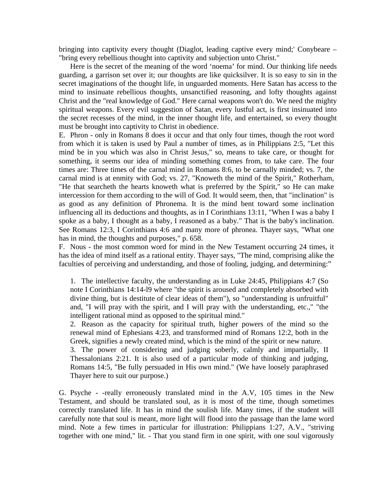bringing into captivity every thought (Diaglot, leading captive every mind;' Conybeare – "bring every rebellious thought into captivity and subjection unto Christ."

 Here is the secret of the meaning of the word 'noema' for mind. Our thinking life needs guarding, a garrison set over it; our thoughts are like quicksilver. It is so easy to sin in the secret imaginations of the thought life, in unguarded moments. Here Satan has access to the mind to insinuate rebellious thoughts, unsanctified reasoning, and lofty thoughts against Christ and the "real knowledge of God." Here carnal weapons won't do. We need the mighty spiritual weapons. Every evil suggestion of Satan, every lustful act, is first insinuated into the secret recesses of the mind, in the inner thought life, and entertained, so every thought must be brought into captivity to Christ in obedience.

E. Phron - only in Romans 8 does it occur and that only four times, though the root word from which it is taken is used by Paul a number of times, as in Philippians 2:5, "Let this mind be in you which was also in Christ Jesus," so, means to take care, or thought for something, it seems our idea of minding something comes from, to take care. The four times are: Three times of the carnal mind in Romans 8:6, to be carnally minded; vs. 7, the carnal mind is at enmity with God; vs. 27, "Knoweth the mind of the Spirit," Rotherham, "He that searcheth the hearts knoweth what is preferred by the Spirit," so He can make intercession for them according to the will of God. It would seem, then, that "inclination" is as good as any definition of Phronema. It is the mind bent toward some inclination influencing all its deductions and thoughts, as in I Corinthians 13:11, "When I was a baby I spoke as a baby, I thought as a baby, I reasoned as a baby." That is the baby's inclination. See Romans 12:3, I Corinthians 4:6 and many more of phronea. Thayer says, "What one has in mind, the thoughts and purposes," p. 658.

F. Nous - the most common word for mind in the New Testament occurring 24 times, it has the idea of mind itself as a rational entity. Thayer says, "The mind, comprising alike the faculties of perceiving and understanding, and those of fooling, judging, and determining:"

1. The intellective faculty, the understanding as in Luke 24:45, Philippians 4:7 (So note I Corinthians 14:14-l9 where "the spirit is aroused and completely absorbed with divine thing, but is destitute of clear ideas of them"), so "understanding is unfruitful" and, "I will pray with the spirit, and I will pray with the understanding, etc.," "the intelligent rational mind as opposed to the spiritual mind."

2. Reason as the capacity for spiritual truth, higher powers of the mind so the renewal mind of Ephesians 4:23, and transformed mind of Romans 12:2, both in the Greek, signifies a newly created mind, which is the mind of the spirit or new nature.

3. The power of considering and judging soberly, calmly and impartially, II Thessalonians 2:21. It is also used of a particular mode of thinking and judging, Romans 14:5, "Be fully persuaded in His own mind." (We have loosely paraphrased Thayer here to suit our purpose.)

G. Psyche - -really erroneously translated mind in the A.V, 105 times in the New Testament, and should be translated soul, as it is most of the time, though sometimes correctly translated life. It has in mind the soulish life. Many times, if the student will carefully note that soul is meant, more light will flood into the passage than the lame word mind. Note a few times in particular for illustration: Philippians 1:27, A.V., "striving together with one mind," lit. - That you stand firm in one spirit, with one soul vigorously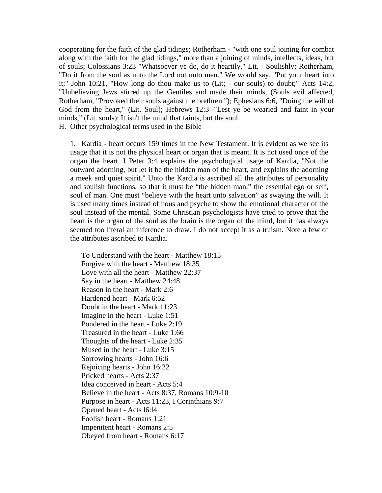cooperating for the faith of the glad tidings; Rotherham - "with one soul joining for combat along with the faith for the glad tidings," more than a joining of minds, intellects, ideas, but of souls; Colossians 3:23 "Whatsoever ye do, do it heartily," Lit. - Soulishly; Rotherham, "Do it from the soul as unto the Lord not unto men." We would say, "Put your heart into it;" John 10:21, "How long do thou make us to (Lit; - our souls) to doubt;" Acts 14:2, "Unbelieving Jews stirred up the Gentiles and made their minds, (Souls evil affected, Rotherham, "Provoked their souls against the brethren."); Ephesians 6:6, "Doing the will of God from the heart," (Lit. Soul); Hebrews 12:3--"Lest ye be wearied and faint in your minds," (Lit. souls); It isn't the mind that faints, but the soul.

H. Other psychological terms used in the Bible

1. Kardia - heart occurs 159 times in the New Testament. It is evident as we see its usage that it is not the physical heart or organ that is meant. It is not used once of the organ the heart. I Peter 3:4 explains the psychological usage of Kardia, "Not the outward adorning, but let it be the hidden man of the heart, and explains the adorning a meek and quiet spirit." Unto the Kardia is ascribed all the attributes of personality and soulish functions, so that it must be "the hidden man," the essential ego or self, soul of man. One must "believe with the heart unto salvation" as swaying the will. It is used many times instead of nous and psyche to show the emotional character of the soul instead of the mental. Some Christian psychologists have tried to prove that the heart is the organ of the soul as the brain is the organ of the mind, but it has always seemed too literal an inference to draw. I do not accept it as a truism. Note a few of the attributes ascribed to Kardia.

To Understand with the heart - Matthew 18:15 Forgive with the heart - Matthew 18:35 Love with all the heart - Matthew 22:37 Say in the heart - Matthew 24:48 Reason in the heart - Mark 2:6 Hardened heart - Mark 6:52 Doubt in the heart - Mark 11:23 Imagine in the heart - Luke 1:51 Pondered in the heart - Luke 2:19 Treasured in the heart - Luke 1:66 Thoughts of the heart - Luke 2:35 Mused in the heart - Luke 3:15 Sorrowing hearts - John 16:6 Rejoicing hearts - John 16:22 Pricked hearts - Acts 2:37 Idea conceived in heart - Acts 5:4 Believe in the heart - Acts 8:37, Romans 10:9-10 Purpose in heart - Acts 11:23, I Corinthians 9:7 Opened heart - Acts l6:l4 Foolish heart - Romans 1:21 Impenitent heart - Romans 2:5 Obeyed from heart - Romans 6:17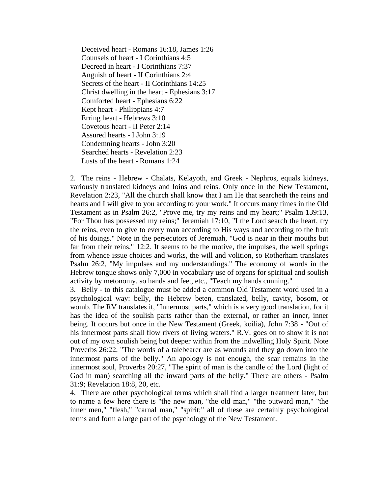Deceived heart - Romans 16:18, James 1:26 Counsels of heart - I Corinthians 4:5 Decreed in heart - I Corinthians 7:37 Anguish of heart - II Corinthians 2:4 Secrets of the heart - II Corinthians 14:25 Christ dwelling in the heart - Ephesians 3:17 Comforted heart - Ephesians 6:22 Kept heart - Philippians 4:7 Erring heart - Hebrews 3:10 Covetous heart - II Peter 2:14 Assured hearts - I John 3:19 Condemning hearts - John 3:20 Searched hearts - Revelation 2:23 Lusts of the heart - Romans 1:24

2. The reins - Hebrew - Chalats, Kelayoth, and Greek - Nephros, equals kidneys, variously translated kidneys and loins and reins. Only once in the New Testament, Revelation 2:23, "All the church shall know that I am He that searcheth the reins and hearts and I will give to you according to your work." It occurs many times in the Old Testament as in Psalm 26:2, "Prove me, try my reins and my heart;" Psalm 139:13, "For Thou has possessed my reins;" Jeremiah 17:10, "I the Lord search the heart, try the reins, even to give to every man according to His ways and according to the fruit of his doings." Note in the persecutors of Jeremiah, "God is near in their mouths but far from their reins," 12:2. It seems to be the motive, the impulses, the well springs from whence issue choices and works, the will and volition, so Rotherham translates Psalm 26:2, "My impulses and my understandings." The economy of words in the Hebrew tongue shows only 7,000 in vocabulary use of organs for spiritual and soulish activity by metonomy, so hands and feet, etc., "Teach my hands cunning."

3. Belly - to this catalogue must be added a common Old Testament word used in a psychological way: belly, the Hebrew beten, translated, belly, cavity, bosom, or womb. The RV translates it, "Innermost parts," which is a very good translation, for it has the idea of the soulish parts rather than the external, or rather an inner, inner being. It occurs but once in the New Testament (Greek, koilia), John 7:38 - "Out of his innermost parts shall flow rivers of living waters." R.V. goes on to show it is not out of my own soulish being but deeper within from the indwelling Holy Spirit. Note Proverbs 26:22, "The words of a talebearer are as wounds and they go down into the innermost parts of the belly." An apology is not enough, the scar remains in the innermost soul, Proverbs 20:27, "The spirit of man is the candle of the Lord (light of God in man) searching all the inward parts of the belly." There are others - Psalm 31:9; Revelation 18:8, 20, etc.

4. There are other psychological terms which shall find a larger treatment later, but to name a few here there is "the new man, "the old man," "the outward man," "the inner men," "flesh," "carnal man," "spirit;" all of these are certainly psychological terms and form a large part of the psychology of the New Testament.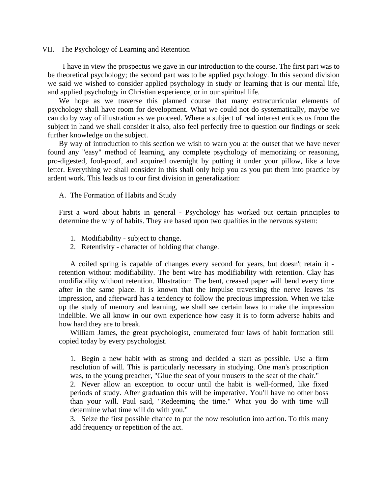#### VII. The Psychology of Learning and Retention

 I have in view the prospectus we gave in our introduction to the course. The first part was to be theoretical psychology; the second part was to be applied psychology. In this second division we said we wished to consider applied psychology in study or learning that is our mental life, and applied psychology in Christian experience, or in our spiritual life.

 We hope as we traverse this planned course that many extracurricular elements of psychology shall have room for development. What we could not do systematically, maybe we can do by way of illustration as we proceed. Where a subject of real interest entices us from the subject in hand we shall consider it also, also feel perfectly free to question our findings or seek further knowledge on the subject.

 By way of introduction to this section we wish to warn you at the outset that we have never found any "easy" method of learning, any complete psychology of memorizing or reasoning, pro-digested, fool-proof, and acquired overnight by putting it under your pillow, like a love letter. Everything we shall consider in this shall only help you as you put them into practice by ardent work. This leads us to our first division in generalization:

#### A. The Formation of Habits and Study

 First a word about habits in general - Psychology has worked out certain principles to determine the why of habits. They are based upon two qualities in the nervous system:

- 1. Modifiability subject to change.
- 2. Retentivity character of holding that change.

 A coiled spring is capable of changes every second for years, but doesn't retain it retention without modifiability. The bent wire has modifiability with retention. Clay has modifiability without retention. Illustration: The bent, creased paper will bend every time after in the same place. It is known that the impulse traversing the nerve leaves its impression, and afterward has a tendency to follow the precious impression. When we take up the study of memory and learning, we shall see certain laws to make the impression indelible. We all know in our own experience how easy it is to form adverse habits and how hard they are to break.

 William James, the great psychologist, enumerated four laws of habit formation still copied today by every psychologist.

1. Begin a new habit with as strong and decided a start as possible. Use a firm resolution of will. This is particularly necessary in studying. One man's proscription was, to the young preacher, "Glue the seat of your trousers to the seat of the chair."

2. Never allow an exception to occur until the habit is well-formed, like fixed periods of study. After graduation this will be imperative. You'll have no other boss than your will. Paul said, "Redeeming the time." What you do with time will determine what time will do with you."

3. Seize the first possible chance to put the now resolution into action. To this many add frequency or repetition of the act.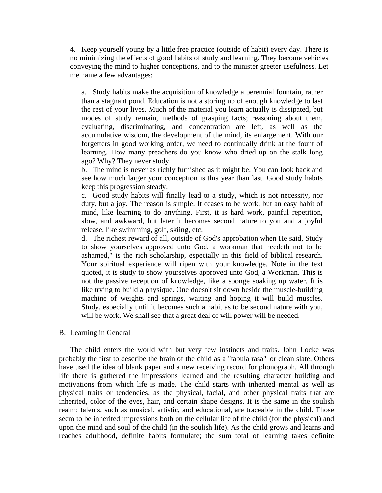4. Keep yourself young by a little free practice (outside of habit) every day. There is no minimizing the effects of good habits of study and learning. They become vehicles conveying the mind to higher conceptions, and to the minister greeter usefulness. Let me name a few advantages:

a. Study habits make the acquisition of knowledge a perennial fountain, rather than a stagnant pond. Education is not a storing up of enough knowledge to last the rest of your lives. Much of the material you learn actually is dissipated, but modes of study remain, methods of grasping facts; reasoning about them, evaluating, discriminating, and concentration are left, as well as the accumulative wisdom, the development of the mind, its enlargement. With our forgetters in good working order, we need to continually drink at the fount of learning. How many preachers do you know who dried up on the stalk long ago? Why? They never study.

b. The mind is never as richly furnished as it might be. You can look back and see how much larger your conception is this year than last. Good study habits keep this progression steady.

c. Good study habits will finally lead to a study, which is not necessity, nor duty, but a joy. The reason is simple. It ceases to be work, but an easy habit of mind, like learning to do anything. First, it is hard work, painful repetition, slow, and awkward, but later it becomes second nature to you and a joyful release, like swimming, golf, skiing, etc.

d. The richest reward of all, outside of God's approbation when He said, Study to show yourselves approved unto God, a workman that needeth not to be ashamed," is the rich scholarship, especially in this field of biblical research. Your spiritual experience will ripen with your knowledge. Note in the text quoted, it is study to show yourselves approved unto God, a Workman. This is not the passive reception of knowledge, like a sponge soaking up water. It is like trying to build a physique. One doesn't sit down beside the muscle-building machine of weights and springs, waiting and hoping it will build muscles. Study, especially until it becomes such a habit as to be second nature with you, will be work. We shall see that a great deal of will power will be needed.

#### B. Learning in General

 The child enters the world with but very few instincts and traits. John Locke was probably the first to describe the brain of the child as a "tabula rasa"' or clean slate. Others have used the idea of blank paper and a new receiving record for phonograph. All through life there is gathered the impressions learned and the resulting character building and motivations from which life is made. The child starts with inherited mental as well as physical traits or tendencies, as the physical, facial, and other physical traits that are inherited, color of the eyes, hair, and certain shape designs. It is the same in the soulish realm: talents, such as musical, artistic, and educational, are traceable in the child. Those seem to be inherited impressions both on the cellular life of the child (for the physical) and upon the mind and soul of the child (in the soulish life). As the child grows and learns and reaches adulthood, definite habits formulate; the sum total of learning takes definite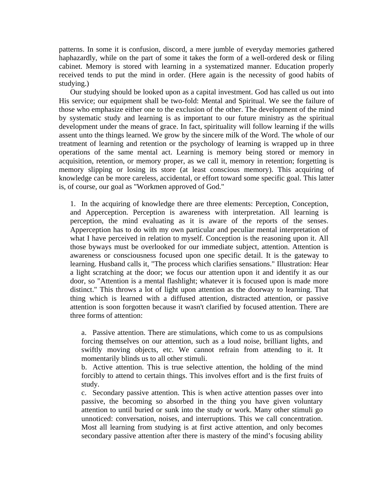patterns. In some it is confusion, discord, a mere jumble of everyday memories gathered haphazardly, while on the part of some it takes the form of a well-ordered desk or filing cabinet. Memory is stored with learning in a systematized manner. Education properly received tends to put the mind in order. (Here again is the necessity of good habits of studying.)

 Our studying should be looked upon as a capital investment. God has called us out into His service; our equipment shall be two-fold: Mental and Spiritual. We see the failure of those who emphasize either one to the exclusion of the other. The development of the mind by systematic study and learning is as important to our future ministry as the spiritual development under the means of grace. In fact, spirituality will follow learning if the wills assent unto the things learned. We grow by the sincere milk of the Word. The whole of our treatment of learning and retention or the psychology of learning is wrapped up in three operations of the same mental act. Learning is memory being stored or memory in acquisition, retention, or memory proper, as we call it, memory in retention; forgetting is memory slipping or losing its store (at least conscious memory). This acquiring of knowledge can be more careless, accidental, or effort toward some specific goal. This latter is, of course, our goal as "Workmen approved of God."

1. In the acquiring of knowledge there are three elements: Perception, Conception, and Apperception. Perception is awareness with interpretation. All learning is perception, the mind evaluating as it is aware of the reports of the senses. Apperception has to do with my own particular and peculiar mental interpretation of what I have perceived in relation to myself. Conception is the reasoning upon it. All those byways must be overlooked for our immediate subject, attention. Attention is awareness or consciousness focused upon one specific detail. It is the gateway to learning. Husband calls it, "The process which clarifies sensations." Illustration: Hear a light scratching at the door; we focus our attention upon it and identify it as our door, so "Attention is a mental flashlight; whatever it is focused upon is made more distinct." This throws a lot of light upon attention as the doorway to learning. That thing which is learned with a diffused attention, distracted attention, or passive attention is soon forgotten because it wasn't clarified by focused attention. There are three forms of attention:

a. Passive attention. There are stimulations, which come to us as compulsions forcing themselves on our attention, such as a loud noise, brilliant lights, and swiftly moving objects, etc. We cannot refrain from attending to it. It momentarily blinds us to all other stimuli.

b. Active attention. This is true selective attention, the holding of the mind forcibly to attend to certain things. This involves effort and is the first fruits of study.

c. Secondary passive attention. This is when active attention passes over into passive, the becoming so absorbed in the thing you have given voluntary attention to until buried or sunk into the study or work. Many other stimuli go unnoticed: conversation, noises, and interruptions. This we call concentration. Most all learning from studying is at first active attention, and only becomes secondary passive attention after there is mastery of the mind's focusing ability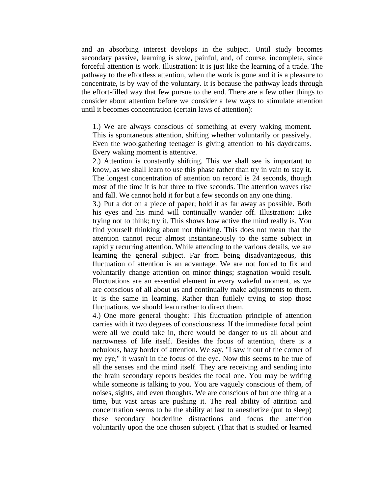and an absorbing interest develops in the subject. Until study becomes secondary passive, learning is slow, painful, and, of course, incomplete, since forceful attention is work. Illustration: It is just like the learning of a trade. The pathway to the effortless attention, when the work is gone and it is a pleasure to concentrate, is by way of the voluntary. It is because the pathway leads through the effort-filled way that few pursue to the end. There are a few other things to consider about attention before we consider a few ways to stimulate attention until it becomes concentration (certain laws of attention):

1.) We are always conscious of something at every waking moment. This is spontaneous attention, shifting whether voluntarily or passively. Even the woolgathering teenager is giving attention to his daydreams. Every waking moment is attentive.

2.) Attention is constantly shifting. This we shall see is important to know, as we shall learn to use this phase rather than try in vain to stay it. The longest concentration of attention on record is 24 seconds, though most of the time it is but three to five seconds. The attention waves rise and fall. We cannot hold it for but a few seconds on any one thing.

3.) Put a dot on a piece of paper; hold it as far away as possible. Both his eyes and his mind will continually wander off. Illustration: Like trying not to think; try it. This shows how active the mind really is. You find yourself thinking about not thinking. This does not mean that the attention cannot recur almost instantaneously to the same subject in rapidly recurring attention. While attending to the various details, we are learning the general subject. Far from being disadvantageous, this fluctuation of attention is an advantage. We are not forced to fix and voluntarily change attention on minor things; stagnation would result. Fluctuations are an essential element in every wakeful moment, as we are conscious of all about us and continually make adjustments to them. It is the same in learning. Rather than futilely trying to stop those fluctuations, we should learn rather to direct them.

4.) One more general thought: This fluctuation principle of attention carries with it two degrees of consciousness. If the immediate focal point were all we could take in, there would be danger to us all about and narrowness of life itself. Besides the focus of attention, there is a nebulous, hazy border of attention. We say, "I saw it out of the corner of my eye," it wasn't in the focus of the eye. Now this seems to be true of all the senses and the mind itself. They are receiving and sending into the brain secondary reports besides the focal one. You may be writing while someone is talking to you. You are vaguely conscious of them, of noises, sights, and even thoughts. We are conscious of but one thing at a time, but vast areas are pushing it. The real ability of attrition and concentration seems to be the ability at last to anesthetize (put to sleep) these secondary borderline distractions and focus the attention voluntarily upon the one chosen subject. (That that is studied or learned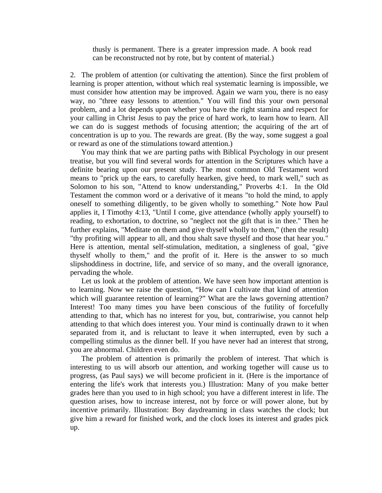thusly is permanent. There is a greater impression made. A book read can be reconstructed not by rote, but by content of material.)

2. The problem of attention (or cultivating the attention). Since the first problem of learning is proper attention, without which real systematic learning is impossible, we must consider how attention may be improved. Again we warn you, there is no easy way, no "three easy lessons to attention." You will find this your own personal problem, and a lot depends upon whether you have the right stamina and respect for your calling in Christ Jesus to pay the price of hard work, to learn how to learn. All we can do is suggest methods of focusing attention; the acquiring of the art of concentration is up to you. The rewards are great. (By the way, some suggest a goal or reward as one of the stimulations toward attention.)

 You may think that we are parting paths with Biblical Psychology in our present treatise, but you will find several words for attention in the Scriptures which have a definite bearing upon our present study. The most common Old Testament word means to "prick up the ears, to carefully hearken, give heed, to mark well," such as Solomon to his son, "Attend to know understanding," Proverbs 4:1. In the Old Testament the common word or a derivative of it means "to hold the mind, to apply oneself to something diligently, to be given wholly to something." Note how Paul applies it, I Timothy 4:13, "Until I come, give attendance (wholly apply yourself) to reading, to exhortation, to doctrine, so "neglect not the gift that is in thee." Then he further explains, "Meditate on them and give thyself wholly to them," (then the result) "thy profiting will appear to all, and thou shalt save thyself and those that hear you." Here is attention, mental self-stimulation, meditation, a singleness of goal, "give thyself wholly to them," and the profit of it. Here is the answer to so much slipshoddiness in doctrine, life, and service of so many, and the overall ignorance, pervading the whole.

 Let us look at the problem of attention. We have seen how important attention is to learning. Now we raise the question, "How can I cultivate that kind of attention which will guarantee retention of learning?" What are the laws governing attention? Interest! Too many times you have been conscious of the futility of forcefully attending to that, which has no interest for you, but, contrariwise, you cannot help attending to that which does interest you. Your mind is continually drawn to it when separated from it, and is reluctant to leave it when interrupted, even by such a compelling stimulus as the dinner bell. If you have never had an interest that strong, you are abnormal. Children even do.

 The problem of attention is primarily the problem of interest. That which is interesting to us will absorb our attention, and working together will cause us to progress, (as Paul says) we will become proficient in it. (Here is the importance of entering the life's work that interests you.) Illustration: Many of you make better grades here than you used to in high school; you have a different interest in life. The question arises, how to increase interest, not by force or will power alone, but by incentive primarily. Illustration: Boy daydreaming in class watches the clock; but give him a reward for finished work, and the clock loses its interest and grades pick up.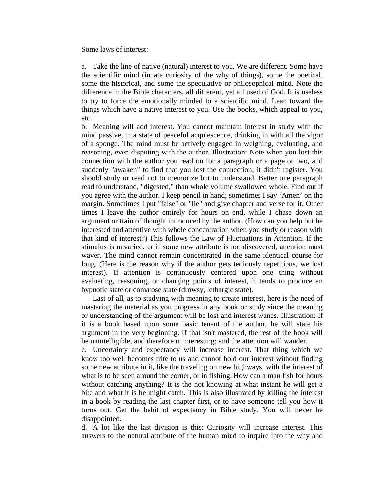Some laws of interest:

a. Take the line of native (natural) interest to you. We are different. Some have the scientific mind (innate curiosity of the why of things), some the poetical, some the historical, and some the speculative or philosophical mind. Note the difference in the Bible characters, all different, yet all used of God. It is useless to try to force the emotionally minded to a scientific mind. Lean toward the things which have a native interest to you. Use the books, which appeal to you, etc.

b. Meaning will add interest. You cannot maintain interest in study with the mind passive, in a state of peaceful acquiescence, drinking in with all the vigor of a sponge. The mind must be actively engaged in weighing, evaluating, and reasoning, even disputing with the author. Illustration: Note when you lost this connection with the author you read on for a paragraph or a page or two, and suddenly "awaken" to find that you lost the connection; it didn't register. You should study or read not to memorize but to understand. Better one paragraph read to understand, "digested," than whole volume swallowed whole. Find out if you agree with the author. I keep pencil in hand; sometimes I say 'Amen' on the margin. Sometimes I put "false" or "lie" and give chapter and verse for it. Other times I leave the author entirely for hours on end, while I chase down an argument or train of thought introduced by the author. (How can you help but be interested and attentive with whole concentration when you study or reason with that kind of interest?) This follows the Law of Fluctuations in Attention. If the stimulus is unvaried, or if some new attribute is not discovered, attention must waver. The mind cannot remain concentrated in the same identical course for long. (Here is the reason why if the author gets tediously repetitious, we lost interest). If attention is continuously centered upon one thing without evaluating, reasoning, or changing points of interest, it tends to produce an hypnotic state or comatose state (drowsy, lethargic state).

 Last of all, as to studying with meaning to create interest, here is the need of mastering the material as you progress in any book or study since the meaning or understanding of the argument will be lost and interest wanes. Illustration: If it is a book based upon some basic tenant of the author, he will state his argument in the very beginning. If that isn't mastered, the rest of the book will be unintelligible, and therefore uninteresting; and the attention will wander.

c. Uncertainty and expectancy will increase interest. That thing which we know too well becomes trite to us and cannot hold our interest without finding some new attribute in it, like the traveling on new highways, with the interest of what is to be seen around the corner, or in fishing. How can a man fish for hours without catching anything? It is the not knowing at what instant he will get a bite and what it is he might catch. This is also illustrated by killing the interest in a book by reading the last chapter first, or to have someone tell you how it turns out. Get the habit of expectancy in Bible study. You will never be disappointed.

d. A lot like the last division is this: Curiosity will increase interest. This answers to the natural attribute of the human mind to inquire into the why and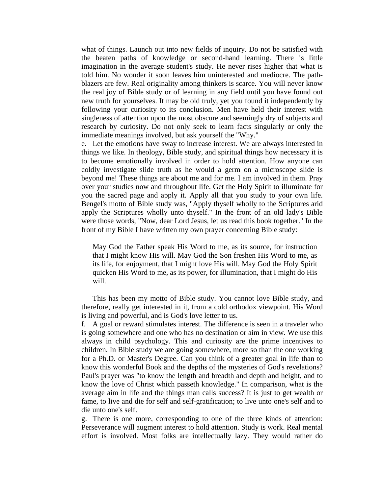what of things. Launch out into new fields of inquiry. Do not be satisfied with the beaten paths of knowledge or second-hand learning. There is little imagination in the average student's study. He never rises higher that what is told him. No wonder it soon leaves him uninterested and mediocre. The pathblazers are few. Real originality among thinkers is scarce. You will never know the real joy of Bible study or of learning in any field until you have found out new truth for yourselves. It may be old truly, yet you found it independently by following your curiosity to its conclusion. Men have held their interest with singleness of attention upon the most obscure and seemingly dry of subjects and research by curiosity. Do not only seek to learn facts singularly or only the immediate meanings involved, but ask yourself the "Why."

e. Let the emotions have sway to increase interest. We are always interested in things we like. In theology, Bible study, and spiritual things how necessary it is to become emotionally involved in order to hold attention. How anyone can coldly investigate slide truth as he would a germ on a microscope slide is beyond me! These things are about me and for me. I am involved in them. Pray over your studies now and throughout life. Get the Holy Spirit to illuminate for you the sacred page and apply it. Apply all that you study to your own life. Bengel's motto of Bible study was, "Apply thyself wholly to the Scriptures arid apply the Scriptures wholly unto thyself." In the front of an old lady's Bible were those words, "Now, dear Lord Jesus, let us read this book together." In the front of my Bible I have written my own prayer concerning Bible study:

May God the Father speak His Word to me, as its source, for instruction that I might know His will. May God the Son freshen His Word to me, as its life, for enjoyment, that I might love His will. May God the Holy Spirit quicken His Word to me, as its power, for illumination, that I might do His will.

 This has been my motto of Bible study. You cannot love Bible study, and therefore, really get interested in it, from a cold orthodox viewpoint. His Word is living and powerful, and is God's love letter to us.

f. A goal or reward stimulates interest. The difference is seen in a traveler who is going somewhere and one who has no destination or aim in view. We use this always in child psychology. This and curiosity are the prime incentives to children. In Bible study we are going somewhere, more so than the one working for a Ph.D. or Master's Degree. Can you think of a greater goal in life than to know this wonderful Book and the depths of the mysteries of God's revelations? Paul's prayer was "to know the length and breadth and depth and height, and to know the love of Christ which passeth knowledge." In comparison, what is the average aim in life and the things man calls success? It is just to get wealth or fame, to live and die for self and self-gratification; to live unto one's self and to die unto one's self.

g. There is one more, corresponding to one of the three kinds of attention: Perseverance will augment interest to hold attention. Study is work. Real mental effort is involved. Most folks are intellectually lazy. They would rather do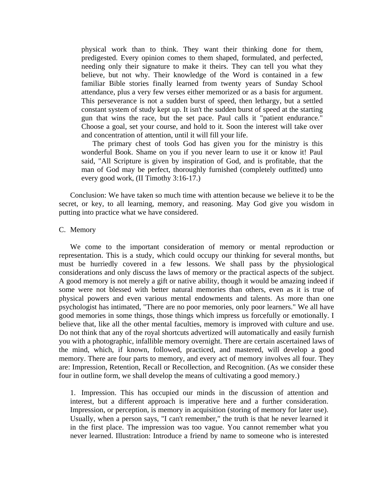physical work than to think. They want their thinking done for them, predigested. Every opinion comes to them shaped, formulated, and perfected, needing only their signature to make it theirs. They can tell you what they believe, but not why. Their knowledge of the Word is contained in a few familiar Bible stories finally learned from twenty years of Sunday School attendance, plus a very few verses either memorized or as a basis for argument. This perseverance is not a sudden burst of speed, then lethargy, but a settled constant system of study kept up. It isn't the sudden burst of speed at the starting gun that wins the race, but the set pace. Paul calls it "patient endurance." Choose a goal, set your course, and hold to it. Soon the interest will take over and concentration of attention, until it will fill your life.

 The primary chest of tools God has given you for the ministry is this wonderful Book. Shame on you if you never learn to use it or know it! Paul said, "All Scripture is given by inspiration of God, and is profitable, that the man of God may be perfect, thoroughly furnished (completely outfitted) unto every good work, (II Timothy 3:16-17.)

 Conclusion: We have taken so much time with attention because we believe it to be the secret, or key, to all learning, memory, and reasoning. May God give you wisdom in putting into practice what we have considered.

#### C. Memory

 We come to the important consideration of memory or mental reproduction or representation. This is a study, which could occupy our thinking for several months, but must be hurriedly covered in a few lessons. We shall pass by the physiological considerations and only discuss the laws of memory or the practical aspects of the subject. A good memory is not merely a gift or native ability, though it would be amazing indeed if some were not blessed with better natural memories than others, even as it is true of physical powers and even various mental endowments and talents. As more than one psychologist has intimated, "There are no poor memories, only poor learners." We all have good memories in some things, those things which impress us forcefully or emotionally. I believe that, like all the other mental faculties, memory is improved with culture and use. Do not think that any of the royal shortcuts advertized will automatically and easily furnish you with a photographic, infallible memory overnight. There are certain ascertained laws of the mind, which, if known, followed, practiced, and mastered, will develop a good memory. There are four parts to memory, and every act of memory involves all four. They are: Impression, Retention, Recall or Recollection, and Recognition. (As we consider these four in outline form, we shall develop the means of cultivating a good memory.)

1. Impression. This has occupied our minds in the discussion of attention and interest, but a different approach is imperative here and a further consideration. Impression, or perception, is memory in acquisition (storing of memory for later use). Usually, when a person says, "I can't remember," the truth is that he never learned it in the first place. The impression was too vague. You cannot remember what you never learned. Illustration: Introduce a friend by name to someone who is interested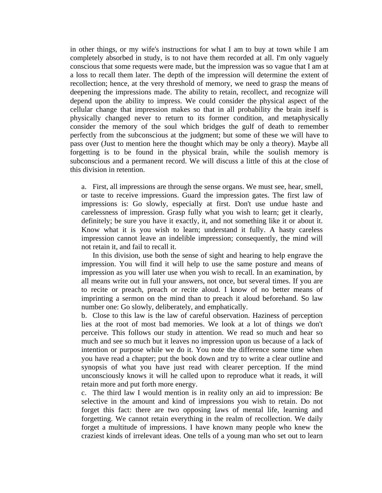in other things, or my wife's instructions for what I am to buy at town while I am completely absorbed in study, is to not have them recorded at all. I'm only vaguely conscious that some requests were made, but the impression was so vague that I am at a loss to recall them later. The depth of the impression will determine the extent of recollection; hence, at the very threshold of memory, we need to grasp the means of deepening the impressions made. The ability to retain, recollect, and recognize will depend upon the ability to impress. We could consider the physical aspect of the cellular change that impression makes so that in all probability the brain itself is physically changed never to return to its former condition, and metaphysically consider the memory of the soul which bridges the gulf of death to remember perfectly from the subconscious at the judgment; but some of these we will have to pass over (Just to mention here the thought which may be only a theory). Maybe all forgetting is to be found in the physical brain, while the soulish memory is subconscious and a permanent record. We will discuss a little of this at the close of this division in retention.

a. First, all impressions are through the sense organs. We must see, hear, smell, or taste to receive impressions. Guard the impression gates. The first law of impressions is: Go slowly, especially at first. Don't use undue haste and carelessness of impression. Grasp fully what you wish to learn; get it clearly, definitely; be sure you have it exactly, it, and not something like it or about it. Know what it is you wish to learn; understand it fully. A hasty careless impression cannot leave an indelible impression; consequently, the mind will not retain it, and fail to recall it.

 In this division, use both the sense of sight and hearing to help engrave the impression. You will find it will help to use the same posture and means of impression as you will later use when you wish to recall. In an examination, by all means write out in full your answers, not once, but several times. If you are to recite or preach, preach or recite aloud. I know of no better means of imprinting a sermon on the mind than to preach it aloud beforehand. So law number one: Go slowly, deliberately, and emphatically.

b. Close to this law is the law of careful observation. Haziness of perception lies at the root of most bad memories. We look at a lot of things we don't perceive. This follows our study in attention. We read so much and hear so much and see so much but it leaves no impression upon us because of a lack of intention or purpose while we do it. You note the difference some time when you have read a chapter; put the book down and try to write a clear outline and synopsis of what you have just read with clearer perception. If the mind unconsciously knows it will he called upon to reproduce what it reads, it will retain more and put forth more energy.

c. The third law I would mention is in reality only an aid to impression: Be selective in the amount and kind of impressions you wish to retain. Do not forget this fact: there are two opposing laws of mental life, learning and forgetting. We cannot retain everything in the realm of recollection. We daily forget a multitude of impressions. I have known many people who knew the craziest kinds of irrelevant ideas. One tells of a young man who set out to learn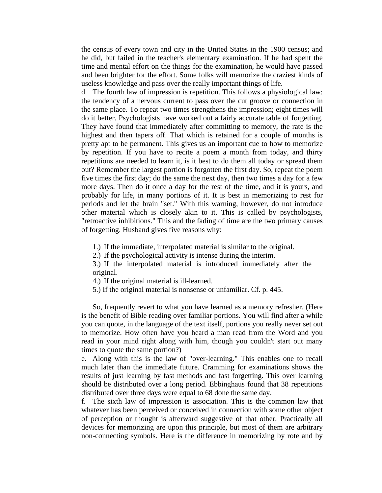the census of every town and city in the United States in the 1900 census; and he did, but failed in the teacher's elementary examination. If he had spent the time and mental effort on the things for the examination, he would have passed and been brighter for the effort. Some folks will memorize the craziest kinds of useless knowledge and pass over the really important things of life.

d. The fourth law of impression is repetition. This follows a physiological law: the tendency of a nervous current to pass over the cut groove or connection in the same place. To repeat two times strengthens the impression; eight times will do it better. Psychologists have worked out a fairly accurate table of forgetting. They have found that immediately after committing to memory, the rate is the highest and then tapers off. That which is retained for a couple of months is pretty apt to be permanent. This gives us an important cue to how to memorize by repetition. If you have to recite a poem a month from today, and thirty repetitions are needed to learn it, is it best to do them all today or spread them out? Remember the largest portion is forgotten the first day. So, repeat the poem five times the first day; do the same the next day, then two times a day for a few more days. Then do it once a day for the rest of the time, and it is yours, and probably for life, in many portions of it. It is best in memorizing to rest for periods and let the brain "set." With this warning, however, do not introduce other material which is closely akin to it. This is called by psychologists, "retroactive inhibitions." This and the fading of time are the two primary causes of forgetting. Husband gives five reasons why:

- 1.) If the immediate, interpolated material is similar to the original.
- 2.) If the psychological activity is intense during the interim.

3.) If the interpolated material is introduced immediately after the original.

- 4.) If the original material is ill-learned.
- 5.) If the original material is nonsense or unfamiliar. Cf. p. 445.

 So, frequently revert to what you have learned as a memory refresher. (Here is the benefit of Bible reading over familiar portions. You will find after a while you can quote, in the language of the text itself, portions you really never set out to memorize. How often have you heard a man read from the Word and you read in your mind right along with him, though you couldn't start out many times to quote the same portion?)

e. Along with this is the law of "over-learning." This enables one to recall much later than the immediate future. Cramming for examinations shows the results of just learning by fast methods and fast forgetting. This over learning should be distributed over a long period. Ebbinghaus found that 38 repetitions distributed over three days were equal to 68 done the same day.

f. The sixth law of impression is association. This is the common law that whatever has been perceived or conceived in connection with some other object of perception or thought is afterward suggestive of that other. Practically all devices for memorizing are upon this principle, but most of them are arbitrary non-connecting symbols. Here is the difference in memorizing by rote and by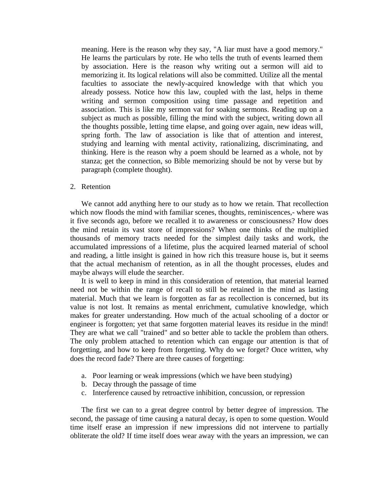meaning. Here is the reason why they say, "A liar must have a good memory." He learns the particulars by rote. He who tells the truth of events learned them by association. Here is the reason why writing out a sermon will aid to memorizing it. Its logical relations will also be committed. Utilize all the mental faculties to associate the newly-acquired knowledge with that which you already possess. Notice how this law, coupled with the last, helps in theme writing and sermon composition using time passage and repetition and association. This is like my sermon vat for soaking sermons. Reading up on a subject as much as possible, filling the mind with the subject, writing down all the thoughts possible, letting time elapse, and going over again, new ideas will, spring forth. The law of association is like that of attention and interest, studying and learning with mental activity, rationalizing, discriminating, and thinking. Here is the reason why a poem should be learned as a whole, not by stanza; get the connection, so Bible memorizing should be not by verse but by paragraph (complete thought).

#### 2. Retention

 We cannot add anything here to our study as to how we retain. That recollection which now floods the mind with familiar scenes, thoughts, reminiscences,- where was it five seconds ago, before we recalled it to awareness or consciousness? How does the mind retain its vast store of impressions? When one thinks of the multiplied thousands of memory tracts needed for the simplest daily tasks and work, the accumulated impressions of a lifetime, plus the acquired learned material of school and reading, a little insight is gained in how rich this treasure house is, but it seems that the actual mechanism of retention, as in all the thought processes, eludes and maybe always will elude the searcher.

 It is well to keep in mind in this consideration of retention, that material learned need not be within the range of recall to still be retained in the mind as lasting material. Much that we learn is forgotten as far as recollection is concerned, but its value is not lost. It remains as mental enrichment, cumulative knowledge, which makes for greater understanding. How much of the actual schooling of a doctor or engineer is forgotten; yet that same forgotten material leaves its residue in the mind! They are what we call "trained" and so better able to tackle the problem than others. The only problem attached to retention which can engage our attention is that of forgetting, and how to keep from forgetting. Why do we forget? Once written, why does the record fade? There are three causes of forgetting:

- a. Poor learning or weak impressions (which we have been studying)
- b. Decay through the passage of time
- c. Interference caused by retroactive inhibition, concussion, or repression

 The first we can to a great degree control by better degree of impression. The second, the passage of time causing a natural decay, is open to some question. Would time itself erase an impression if new impressions did not intervene to partially obliterate the old? If time itself does wear away with the years an impression, we can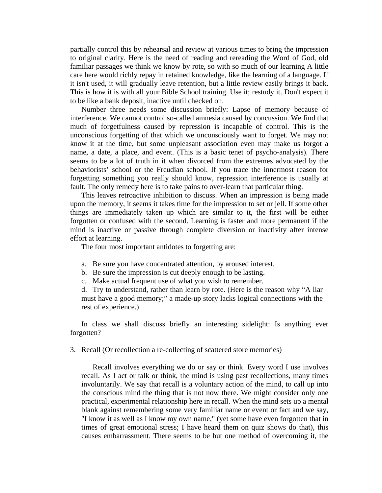partially control this by rehearsal and review at various times to bring the impression to original clarity. Here is the need of reading and rereading the Word of God, old familiar passages we think we know by rote, so with so much of our learning A little care here would richly repay in retained knowledge, like the learning of a language. If it isn't used, it will gradually leave retention, but a little review easily brings it back. This is how it is with all your Bible School training. Use it; restudy it. Don't expect it to be like a bank deposit, inactive until checked on.

 Number three needs some discussion briefly: Lapse of memory because of interference. We cannot control so-called amnesia caused by concussion. We find that much of forgetfulness caused by repression is incapable of control. This is the unconscious forgetting of that which we unconsciously want to forget. We may not know it at the time, but some unpleasant association even may make us forgot a name, a date, a place, and event. (This is a basic tenet of psycho-analysis). There seems to be a lot of truth in it when divorced from the extremes advocated by the behaviorists' school or the Freudian school. If you trace the innermost reason for forgetting something you really should know, repression interference is usually at fault. The only remedy here is to take pains to over-learn that particular thing.

 This leaves retroactive inhibition to discuss. When an impression is being made upon the memory, it seems it takes time for the impression to set or jell. If some other things are immediately taken up which are similar to it, the first will be either forgotten or confused with the second. Learning is faster and more permanent if the mind is inactive or passive through complete diversion or inactivity after intense effort at learning.

The four most important antidotes to forgetting are:

- a. Be sure you have concentrated attention, by aroused interest.
- b. Be sure the impression is cut deeply enough to be lasting.
- c. Make actual frequent use of what you wish to remember.

d. Try to understand, rather than learn by rote. (Here is the reason why "A liar must have a good memory;" a made-up story lacks logical connections with the rest of experience.)

 In class we shall discuss briefly an interesting sidelight: Is anything ever forgotten?

3. Recall (Or recollection a re-collecting of scattered store memories)

 Recall involves everything we do or say or think. Every word I use involves recall. As I act or talk or think, the mind is using past recollections, many times involuntarily. We say that recall is a voluntary action of the mind, to call up into the conscious mind the thing that is not now there. We might consider only one practical, experimental relationship here in recall. When the mind sets up a mental blank against remembering some very familiar name or event or fact and we say, "I know it as well as I know my own name," (yet some have even forgotten that in times of great emotional stress; I have heard them on quiz shows do that), this causes embarrassment. There seems to be but one method of overcoming it, the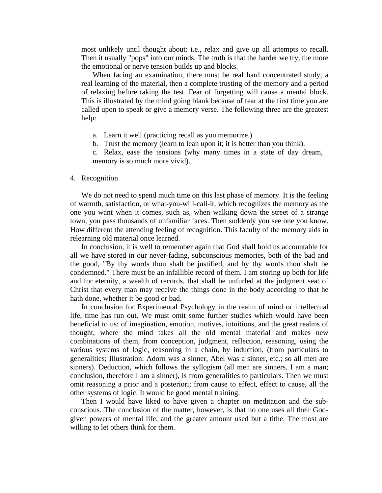most unlikely until thought about: i.e., relax and give up all attempts to recall. Then it usually "pops" into our minds. The truth is that the harder we try, the more the emotional or nerve tension builds up and blocks.

 When facing an examination, there must be real hard concentrated study, a real learning of the material, then a complete trusting of the memory and a period of relaxing before taking the test. Fear of forgetting will cause a mental block. This is illustrated by the mind going blank because of fear at the first time you are called upon to speak or give a memory verse. The following three are the greatest help:

- a. Learn it well (practicing recall as you memorize.)
- b. Trust the memory (learn to lean upon it; it is better than you think).

c. Relax, ease the tensions (why many times in a state of day dream, memory is so much more vivid).

#### 4. Recognition

We do not need to spend much time on this last phase of memory. It is the feeling of warmth, satisfaction, or what-you-will-call-it, which recognizes the memory as the one you want when it comes, such as, when walking down the street of a strange town, you pass thousands of unfamiliar faces. Then suddenly you see one you know. How different the attending feeling of recognition. This faculty of the memory aids in relearning old material once learned.

 In conclusion, it is well to remember again that God shall hold us accountable for all we have stored in our never-fading, subconscious memories, both of the bad and the good, "By thy words thou shalt be justified, and by thy words thou shalt be condemned." There must be an infallible record of them. I am storing up both for life and for eternity, a wealth of records, that shall be unfurled at the judgment seat of Christ that every man may receive the things done in the body according to that he hath done, whether it be good or bad.

 In conclusion for Experimental Psychology in the realm of mind or intellectual life, time has run out. We must omit some further studies which would have been beneficial to us: of imagination, emotion, motives, intuitions, and the great realms of thought, where the mind takes all the old mental material and makes new combinations of them, from conception, judgment, reflection, reasoning, using the various systems of logic, reasoning in a chain, by induction, (from particulars to generalities; Illustration: Adorn was a sinner, Abel was a sinner, etc.; so all men are sinners). Deduction, which follows the syllogism (all men are sinners, I am a man; conclusion, therefore I am a sinner), is from generalities to particulars. Then we must omit reasoning a prior and a posteriori; from cause to effect, effect to cause, all the other systems of logic. It would be good mental training.

 Then I would have liked to have given a chapter on meditation and the subconscious. The conclusion of the matter, however, is that no one uses all their Godgiven powers of mental life, and the greater amount used but a tithe. The most are willing to let others think for them.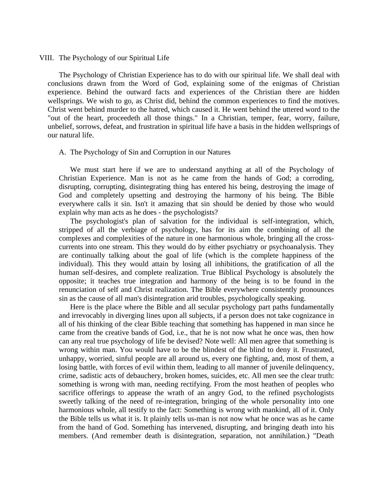#### VIII. The Psychology of our Spiritual Life

 The Psychology of Christian Experience has to do with our spiritual life. We shall deal with conclusions drawn from the Word of God, explaining some of the enigmas of Christian experience. Behind the outward facts and experiences of the Christian there are hidden wellsprings. We wish to go, as Christ did, behind the common experiences to find the motives. Christ went behind murder to the hatred, which caused it. He went behind the uttered word to the "out of the heart, proceedeth all those things." In a Christian, temper, fear, worry, failure, unbelief, sorrows, defeat, and frustration in spiritual life have a basis in the hidden wellsprings of our natural life.

#### A. The Psychology of Sin and Corruption in our Natures

 We must start here if we are to understand anything at all of the Psychology of Christian Experience. Man is not as he came from the hands of God; a corroding, disrupting, corrupting, disintegrating thing has entered his being, destroying the image of God and completely upsetting and destroying the harmony of his being. The Bible everywhere calls it sin. Isn't it amazing that sin should be denied by those who would explain why man acts as he does - the psychologists?

 The psychologist's plan of salvation for the individual is self-integration, which, stripped of all the verbiage of psychology, has for its aim the combining of all the complexes and complexities of the nature in one harmonious whole, bringing all the crosscurrents into one stream. This they would do by either psychiatry or psychoanalysis. They are continually talking about the goal of life (which is the complete happiness of the individual). This they would attain by losing all inhibitions, the gratification of all the human self-desires, and complete realization. True Biblical Psychology is absolutely the opposite; it teaches true integration and harmony of the being is to be found in the renunciation of self and Christ realization. The Bible everywhere consistently pronounces sin as the cause of all man's disintegration arid troubles, psychologically speaking.

 Here is the place where the Bible and all secular psychology part paths fundamentally and irrevocably in diverging lines upon all subjects, if a person does not take cognizance in all of his thinking of the clear Bible teaching that something has happened in man since he came from the creative bands of God, i.e., that he is not now what he once was, then how can any real true psychology of life be devised? Note well: All men agree that something is wrong within man. You would have to be the blindest of the blind to deny it. Frustrated, unhappy, worried, sinful people are all around us, every one fighting, and, most of them, a losing battle, with forces of evil within them, leading to all manner of juvenile delinquency, crime, sadistic acts of debauchery, broken homes, suicides, etc. All men see the clear truth: something is wrong with man, needing rectifying. From the most heathen of peoples who sacrifice offerings to appease the wrath of an angry God, to the refined psychologists sweetly talking of the need of re-integration, bringing of the whole personality into one harmonious whole, all testify to the fact: Something is wrong with mankind, all of it. Only the Bible tells us what it is. It plainly tells us-man is not now what he once was as he came from the hand of God. Something has intervened, disrupting, and bringing death into his members. (And remember death is disintegration, separation, not annihilation.) "Death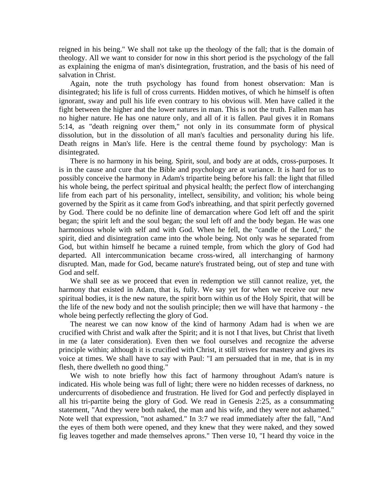reigned in his being." We shall not take up the theology of the fall; that is the domain of theology. All we want to consider for now in this short period is the psychology of the fall as explaining the enigma of man's disintegration, frustration, and the basis of his need of salvation in Christ.

 Again, note the truth psychology has found from honest observation: Man is disintegrated; his life is full of cross currents. Hidden motives, of which he himself is often ignorant, sway and pull his life even contrary to his obvious will. Men have called it the fight between the higher and the lower natures in man. This is not the truth. Fallen man has no higher nature. He has one nature only, and all of it is fallen. Paul gives it in Romans 5:14, as "death reigning over them," not only in its consummate form of physical dissolution, but in the dissolution of all man's faculties and personality during his life. Death reigns in Man's life. Here is the central theme found by psychology: Man is disintegrated.

 There is no harmony in his being. Spirit, soul, and body are at odds, cross-purposes. It is in the cause and cure that the Bible and psychology are at variance. It is hard for us to possibly conceive the harmony in Adam's tripartite being before his fall: the light that filled his whole being, the perfect spiritual and physical health; the perfect flow of interchanging life from each part of his personality, intellect, sensibility, and volition; his whole being governed by the Spirit as it came from God's inbreathing, and that spirit perfectly governed by God. There could be no definite line of demarcation where God left off and the spirit began; the spirit left and the soul began; the soul left off and the body began. He was one harmonious whole with self and with God. When he fell, the "candle of the Lord," the spirit, died and disintegration came into the whole being. Not only was he separated from God, but within himself he became a ruined temple, from which the glory of God had departed. All intercommunication became cross-wired, all interchanging of harmony disrupted. Man, made for God, became nature's frustrated being, out of step and tune with God and self.

 We shall see as we proceed that even in redemption we still cannot realize, yet, the harmony that existed in Adam, that is, fully. We say yet for when we receive our new spiritual bodies, it is the new nature, the spirit born within us of the Holy Spirit, that will be the life of the new body and not the soulish principle; then we will have that harmony - the whole being perfectly reflecting the glory of God.

 The nearest we can now know of the kind of harmony Adam had is when we are crucified with Christ and walk after the Spirit; and it is not I that lives, but Christ that liveth in me (a later consideration). Even then we fool ourselves and recognize the adverse principle within; although it is crucified with Christ, it still strives for mastery and gives its voice at times. We shall have to say with Paul: "I am persuaded that in me, that is in my flesh, there dwelleth no good thing."

 We wish to note briefly how this fact of harmony throughout Adam's nature is indicated. His whole being was full of light; there were no hidden recesses of darkness, no undercurrents of disobedience and frustration. He lived for God and perfectly displayed in all his tri-partite being the glory of God. We read in Genesis 2:25, as a consummating statement, "And they were both naked, the man and his wife, and they were not ashamed." Note well that expression, "not ashamed." In 3:7 we read immediately after the fall, "And the eyes of them both were opened, and they knew that they were naked, and they sowed fig leaves together and made themselves aprons." Then verse 10, "I heard thy voice in the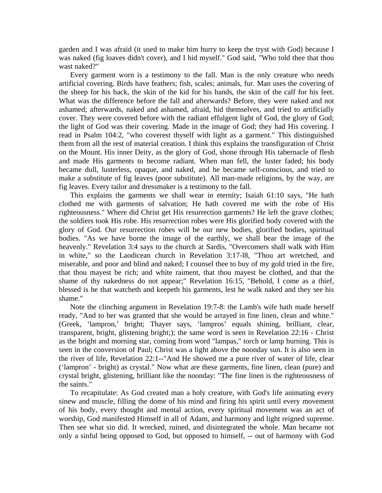garden and I was afraid (it used to make him hurry to keep the tryst with God) because I was naked (fig loaves didn't cover), and I hid myself." God said, "Who told thee that thou wast naked?"

 Every garment worn is a testimony to the fall. Man is the only creature who needs artificial covering. Birds have feathers; fish, scales; animals, fur. Man uses the covering of the sheep for his back, the skin of the kid for his hands, the skin of the calf for his feet. What was the difference before the fall and afterwards? Before, they were naked and not ashamed; afterwards, naked and ashamed, afraid, hid themselves, and tried to artificially cover. They were covered before with the radiant effulgent light of God, the glory of God; the light of God was their covering. Made in the image of God; they had His covering. I read in Psalm 104:2, "who coverest thyself with light as a garment." This distinguished them from all the rest of material creation. I think this explains the transfiguration of Christ on the Mount. His inner Deity, as the glory of God, shone through His tabernacle of flesh and made His garments to become radiant. When man fell, the luster faded; his body became dull, lusterless, opaque, and naked, and he became self-conscious, and tried to make a substitute of fig leaves (poor substitute). All man-made religions, by the way, are fig leaves. Every tailor and dressmaker is a testimony to the fall.

 This explains the garments we shall wear in eternity; Isaiah 61:10 says, "He hath clothed me with garments of salvation; He hath covered me with the robe of His righteousness." Where did Christ get His resurrection garments? He left the grave clothes; the soldiers took His robe. His resurrection robes were His glorified body covered with the glory of God. Our resurrection robes will be our new bodies, glorified bodies, spiritual bodies. "As we have borne the image of the earthly, we shall bear the image of the heavenly." Revelation 3:4 says to the church at Sardis, "Overcomers shall walk with Him in white," so the Laodicean church in Revelation 3:17-l8, "Thou art wretched, and miserable, and poor and blind and naked; I counsel thee to buy of my gold tried in the fire, that thou mayest be rich; and white raiment, that thou mayest be clothed, and that the shame of thy nakedness do not appear;" Revelation 16:15, "Behold, I come as a thief, blessed is he that watcheth and keepeth his garments, lest he walk naked and they see his shame."

 Note the clinching argument in Revelation 19:7-8: the Lamb's wife hath made herself ready, "And to her was granted that she would be arrayed in fine linen, clean and white." (Greek, 'lampron,' bright; Thayer says, 'lampros' equals shining, brilliant, clear, transparent, bright, glistening bright;); the same word is seen in Revelation 22:16 - Christ as the bright and morning star, coming from word "lampas," torch or lamp burning. This is seen in the conversion of Paul; Christ was a light above the noonday sun. It is also seen in the river of life, Revelation 22:1--"And He showed me a pure river of water of life, clear ('lampron' - bright) as crystal." Now what are these garments, fine linen, clean (pure) and crystal bright, glistening, brilliant like the noonday: "The fine linen is the righteousness of the saints."

 To recapitulate: As God created man a holy creature, with God's life animating every sinew and muscle, filling the dome of his mind and firing his spirit until every movement of his body, every thought and mental action, every spiritual movement was an act of worship, God manifested Himself in all of Adam, and harmony and light reigned supreme. Then see what sin did. It wrecked, ruined, and disintegrated the whole. Man became not only a sinful being opposed to God, but opposed to himself, -- out of harmony with God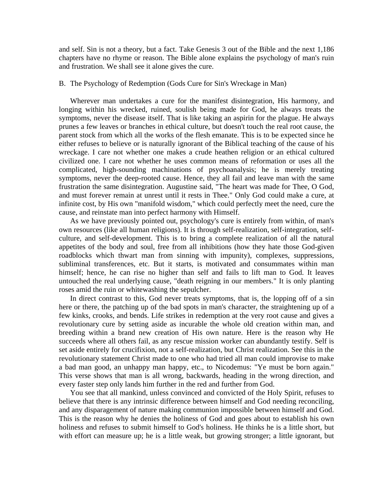and self. Sin is not a theory, but a fact. Take Genesis 3 out of the Bible and the next 1,186 chapters have no rhyme or reason. The Bible alone explains the psychology of man's ruin and frustration. We shall see it alone gives the cure.

### B. The Psychology of Redemption (Gods Cure for Sin's Wreckage in Man)

 Wherever man undertakes a cure for the manifest disintegration, His harmony, and longing within his wrecked, ruined, soulish being made for God, he always treats the symptoms, never the disease itself. That is like taking an aspirin for the plague. He always prunes a few leaves or branches in ethical culture, but doesn't touch the real root cause, the parent stock from which all the works of the flesh emanate. This is to be expected since he either refuses to believe or is naturally ignorant of the Biblical teaching of the cause of his wreckage. I care not whether one makes a crude heathen religion or an ethical cultured civilized one. I care not whether he uses common means of reformation or uses all the complicated, high-sounding machinations of psychoanalysis; he is merely treating symptoms, never the deep-rooted cause. Hence, they all fail and leave man with the same frustration the same disintegration. Augustine said, "The heart was made for Thee, O God, and must forever remain at unrest until it rests in Thee." Only God could make a cure, at infinite cost, by His own "manifold wisdom," which could perfectly meet the need, cure the cause, and reinstate man into perfect harmony with Himself.

 As we have previously pointed out, psychology's cure is entirely from within, of man's own resources (like all human religions). It is through self-realization, self-integration, selfculture, and self-development. This is to bring a complete realization of all the natural appetites of the body and soul, free from all inhibitions (how they hate those God-given roadblocks which thwart man from sinning with impunity), complexes, suppressions, subliminal transferences, etc. But it starts, is motivated and consummates within man himself; hence, he can rise no higher than self and fails to lift man to God. It leaves untouched the real underlying cause, "death reigning in our members." It is only planting roses amid the ruin or whitewashing the sepulcher.

 In direct contrast to this, God never treats symptoms, that is, the lopping off of a sin here or there, the patching up of the bad spots in man's character, the straightening up of a few kinks, crooks, and bends. Life strikes in redemption at the very root cause and gives a revolutionary cure by setting aside as incurable the whole old creation within man, and breeding within a brand new creation of His own nature. Here is the reason why He succeeds where all others fail, as any rescue mission worker can abundantly testify. Self is set aside entirely for crucifixion, not a self-realization, but Christ realization. See this in the revolutionary statement Christ made to one who had tried all man could improvise to make a bad man good, an unhappy man happy, etc., to Nicodemus: "Ye must be born again." This verse shows that man is all wrong, backwards, heading in the wrong direction, and every faster step only lands him further in the red and further from God.

 You see that all mankind, unless convinced and convicted of the Holy Spirit, refuses to believe that there is any intrinsic difference between himself and God needing reconciling, and any disparagement of nature making communion impossible between himself and God. This is the reason why he denies the holiness of God and goes about to establish his own holiness and refuses to submit himself to God's holiness. He thinks he is a little short, but with effort can measure up; he is a little weak, but growing stronger; a little ignorant, but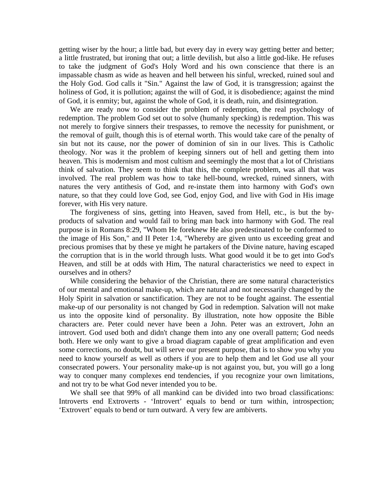getting wiser by the hour; a little bad, but every day in every way getting better and better; a little frustrated, but ironing that out; a little devilish, but also a little god-like. He refuses to take the judgment of God's Holy Word and his own conscience that there is an impassable chasm as wide as heaven and hell between his sinful, wrecked, ruined soul and the Holy God. God calls it "Sin." Against the law of God, it is transgression; against the holiness of God, it is pollution; against the will of God, it is disobedience; against the mind of God, it is enmity; but, against the whole of God, it is death, ruin, and disintegration.

 We are ready now to consider the problem of redemption, the real psychology of redemption. The problem God set out to solve (humanly specking) is redemption. This was not merely to forgive sinners their trespasses, to remove the necessity for punishment, or the removal of guilt, though this is of eternal worth. This would take care of the penalty of sin but not its cause, nor the power of dominion of sin in our lives. This is Catholic theology. Nor was it the problem of keeping sinners out of hell and getting them into heaven. This is modernism and most cultism and seemingly the most that a lot of Christians think of salvation. They seem to think that this, the complete problem, was all that was involved. The real problem was how to take hell-bound, wrecked, ruined sinners, with natures the very antithesis of God, and re-instate them into harmony with God's own nature, so that they could love God, see God, enjoy God, and live with God in His image forever, with His very nature.

 The forgiveness of sins, getting into Heaven, saved from Hell, etc., is but the byproducts of salvation and would fail to bring man back into harmony with God. The real purpose is in Romans 8:29, "Whom He foreknew He also predestinated to be conformed to the image of His Son," and II Peter 1:4, "Whereby are given unto us exceeding great and precious promises that by these ye might he partakers of the Divine nature, having escaped the corruption that is in the world through lusts. What good would it be to get into God's Heaven, and still be at odds with Him, The natural characteristics we need to expect in ourselves and in others?

 While considering the behavior of the Christian, there are some natural characteristics of our mental and emotional make-up, which are natural and not necessarily changed by the Holy Spirit in salvation or sanctification. They are not to be fought against. The essential make-up of our personality is not changed by God in redemption. Salvation will not make us into the opposite kind of personality. By illustration, note how opposite the Bible characters are. Peter could never have been a John. Peter was an extrovert, John an introvert. God used both and didn't change them into any one overall pattern; God needs both. Here we only want to give a broad diagram capable of great amplification and even some corrections, no doubt, but will serve our present purpose, that is to show you why you need to know yourself as well as others if you are to help them and let God use all your consecrated powers. Your personality make-up is not against you, but, you will go a long way to conquer many complexes end tendencies, if you recognize your own limitations, and not try to be what God never intended you to be.

 We shall see that 99% of all mankind can be divided into two broad classifications: Introverts end Extroverts - 'Introvert' equals to bend or turn within, introspection; 'Extrovert' equals to bend or turn outward. A very few are ambiverts.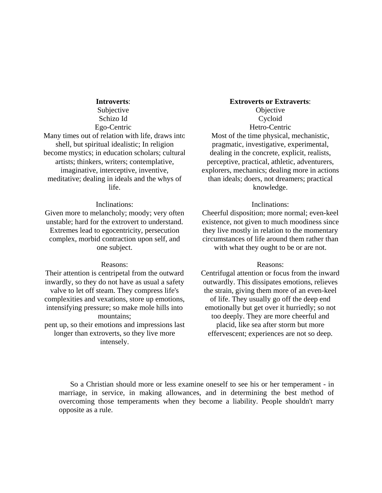#### **Introverts**:

Subjective Schizo Id Ego-Centric

Many times out of relation with life, draws into shell, but spiritual idealistic; In religion become mystics; in education scholars; cultural artists; thinkers, writers; contemplative, imaginative, interceptive, inventive, meditative; dealing in ideals and the whys of life.

#### Inclinations:

Given more to melancholy; moody; very often unstable; hard for the extrovert to understand. Extremes lead to egocentricity, persecution complex, morbid contraction upon self, and one subject.

#### Reasons:

Their attention is centripetal from the outward inwardly, so they do not have as usual a safety valve to let off steam. They compress life's complexities and vexations, store up emotions, intensifying pressure; so make mole hills into mountains; pent up, so their emotions and impressions last longer than extroverts, so they live more

intensely.

# **Extroverts or Extraverts**:

**Objective** Cycloid Hetro-Centric Most of the time physical, mechanistic, pragmatic, investigative, experimental, dealing in the concrete, explicit, realists, perceptive, practical, athletic, adventurers, explorers, mechanics; dealing more in actions than ideals; doers, not dreamers; practical knowledge.

#### Inclinations:

Cheerful disposition; more normal; even-keel existence, not given to much moodiness since they live mostly in relation to the momentary circumstances of life around them rather than with what they ought to be or are not.

#### Reasons:

Centrifugal attention or focus from the inward outwardly. This dissipates emotions, relieves the strain, giving them more of an even-keel of life. They usually go off the deep end emotionally but get over it hurriedly; so not too deeply. They are more cheerful and placid, like sea after storm but more effervescent; experiences are not so deep.

 So a Christian should more or less examine oneself to see his or her temperament - in marriage, in service, in making allowances, and in determining the best method of overcoming those temperaments when they become a liability. People shouldn't marry opposite as a rule.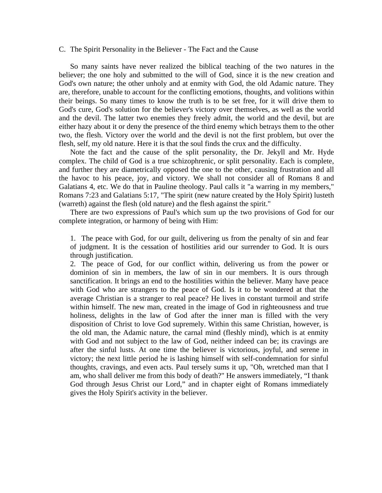#### C. The Spirit Personality in the Believer - The Fact and the Cause

 So many saints have never realized the biblical teaching of the two natures in the believer; the one holy and submitted to the will of God, since it is the new creation and God's own nature; the other unholy and at enmity with God, the old Adamic nature. They are, therefore, unable to account for the conflicting emotions, thoughts, and volitions within their beings. So many times to know the truth is to be set free, for it will drive them to God's cure, God's solution for the believer's victory over themselves, as well as the world and the devil. The latter two enemies they freely admit, the world and the devil, but are either hazy about it or deny the presence of the third enemy which betrays them to the other two, the flesh. Victory over the world and the devil is not the first problem, but over the flesh, self, my old nature. Here it is that the soul finds the crux and the difficulty.

 Note the fact and the cause of the split personality, the Dr. Jekyll and Mr. Hyde complex. The child of God is a true schizophrenic, or split personality. Each is complete, and further they are diametrically opposed the one to the other, causing frustration and all the havoc to his peace, joy, and victory. We shall not consider all of Romans 8 and Galatians 4, etc. We do that in Pauline theology. Paul calls it "a warring in my members," Romans 7:23 and Galatians 5:17, "The spirit (new nature created by the Holy Spirit) lusteth (warreth) against the flesh (old nature) and the flesh against the spirit."

 There are two expressions of Paul's which sum up the two provisions of God for our complete integration, or harmony of being with Him:

1. The peace with God, for our guilt, delivering us from the penalty of sin and fear of judgment. It is the cessation of hostilities arid our surrender to God. It is ours through justification.

2. The peace of God, for our conflict within, delivering us from the power or dominion of sin in members, the law of sin in our members. It is ours through sanctification. It brings an end to the hostilities within the believer. Many have peace with God who are strangers to the peace of God. Is it to be wondered at that the average Christian is a stranger to real peace? He lives in constant turmoil and strife within himself. The new man, created in the image of God in righteousness and true holiness, delights in the law of God after the inner man is filled with the very disposition of Christ to love God supremely. Within this same Christian, however, is the old man, the Adamic nature, the carnal mind (fleshly mind), which is at enmity with God and not subject to the law of God, neither indeed can be; its cravings are after the sinful lusts. At one time the believer is victorious, joyful, and serene in victory; the next little period he is lashing himself with self-condemnation for sinful thoughts, cravings, and even acts. Paul tersely sums it up, "Oh, wretched man that I am, who shall deliver me from this body of death?" He answers immediately, "I thank God through Jesus Christ our Lord," and in chapter eight of Romans immediately gives the Holy Spirit's activity in the believer.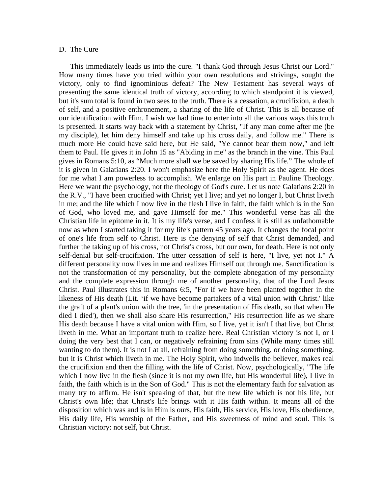#### D. The Cure

 This immediately leads us into the cure. "I thank God through Jesus Christ our Lord." How many times have you tried within your own resolutions and strivings, sought the victory, only to find ignominious defeat? The New Testament has several ways of presenting the same identical truth of victory, according to which standpoint it is viewed, but it's sum total is found in two sees to the truth. There is a cessation, a crucifixion, a death of self, and a positive enthronement, a sharing of the life of Christ. This is all because of our identification with Him. I wish we had time to enter into all the various ways this truth is presented. It starts way back with a statement by Christ, "If any man come after me (be my disciple), let him deny himself and take up his cross daily, and follow me." There is much more He could have said here, but He said, "Ye cannot bear them now," and left them to Paul. He gives it in John 15 as "Abiding in me" as the branch in the vine. This Paul gives in Romans 5:10, as "Much more shall we be saved by sharing His life." The whole of it is given in Galatians 2:20. I won't emphasize here the Holy Spirit as the agent. He does for me what I am powerless to accomplish. We enlarge on His part in Pauline Theology. Here we want the psychology, not the theology of God's cure. Let us note Galatians 2:20 in the R.V., "I have been crucified with Christ; yet I live; and yet no longer I, but Christ liveth in me; and the life which I now live in the flesh I live in faith, the faith which is in the Son of God, who loved me, and gave Himself for me." This wonderful verse has all the Christian life in epitome in it. It is my life's verse, and I confess it is still as unfathomable now as when I started taking it for my life's pattern 45 years ago. It changes the focal point of one's life from self to Christ. Here is the denying of self that Christ demanded, and further the taking up of his cross, not Christ's cross, but our own, for death. Here is not only self-denial but self-crucifixion. The utter cessation of self is here, "I live, yet not I." A different personality now lives in me and realizes Himself out through me. Sanctification is not the transformation of my personality, but the complete abnegation of my personality and the complete expression through me of another personality, that of the Lord Jesus Christ. Paul illustrates this in Romans 6:5, "For if we have been planted together in the likeness of His death (Lit. 'if we have become partakers of a vital union with Christ.' like the graft of a plant's union with the tree, 'in the presentation of His death, so that when He died I died'), then we shall also share His resurrection," His resurrection life as we share His death because I have a vital union with Him, so I live, yet it isn't I that live, but Christ liveth in me. What an important truth to realize here. Real Christian victory is not I, or I doing the very best that I can, or negatively refraining from sins (While many times still wanting to do them). It is not I at all, refraining from doing something, or doing something, but it is Christ which liveth in me. The Holy Spirit, who indwells the believer, makes real the crucifixion and then the filling with the life of Christ. Now, psychologically, "The life which I now live in the flesh (since it is not my own life, but His wonderful life), I live in faith, the faith which is in the Son of God." This is not the elementary faith for salvation as many try to affirm. He isn't speaking of that, but the new life which is not his life, but Christ's own life; that Christ's life brings with it His faith within. It means all of the disposition which was and is in Him is ours, His faith, His service, His love, His obedience, His daily life, His worship of the Father, and His sweetness of mind and soul. This is Christian victory: not self, but Christ.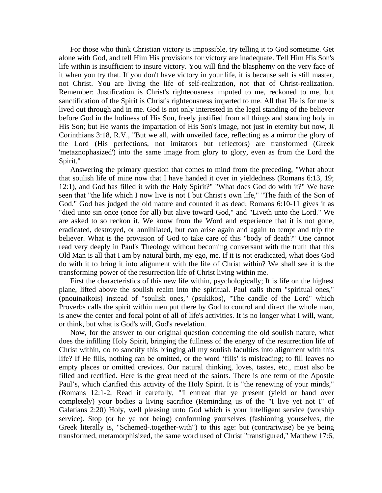For those who think Christian victory is impossible, try telling it to God sometime. Get alone with God, and tell Him His provisions for victory are inadequate. Tell Him His Son's life within is insufficient to insure victory. You will find the blasphemy on the very face of it when you try that. If you don't have victory in your life, it is because self is still master, not Christ. You are living the life of self-realization, not that of Christ-realization. Remember: Justification is Christ's righteousness imputed to me, reckoned to me, but sanctification of the Spirit is Christ's righteousness imparted to me. All that He is for me is lived out through and in me. God is not only interested in the legal standing of the believer before God in the holiness of His Son, freely justified from all things and standing holy in His Son; but He wants the impartation of His Son's image, not just in eternity but now, II Corinthians 3:18, R.V., "But we all, with unveiled face, reflecting as a mirror the glory of the Lord (His perfections, not imitators but reflectors) are transformed (Greek 'metaznophasized') into the same image from glory to glory, even as from the Lord the Spirit."

 Answering the primary question that comes to mind from the preceding, "What about that soulish life of mine now that I have handed it over in yieldedness (Romans 6:13, 19; 12:1), and God has filled it with the Holy Spirit?" "What does God do with it?" We have seen that "the life which I now live is not I but Christ's own life," "The faith of the Son of God." God has judged the old nature and counted it as dead; Romans 6:10-11 gives it as "died unto sin once (once for all) but alive toward God," and "Liveth unto the Lord." We are asked to so reckon it. We know from the Word and experience that it is not gone, eradicated, destroyed, or annihilated, but can arise again and again to tempt and trip the believer. What is the provision of God to take care of this "body of death?" One cannot read very deeply in Paul's Theology without becoming conversant with the truth that this Old Man is all that I am by natural birth, my ego, me. If it is not eradicated, what does God do with it to bring it into alignment with the life of Christ within? We shall see it is the transforming power of the resurrection life of Christ living within me.

 First the characteristics of this new life within, psychologically; It is life on the highest plane, lifted above the soulish realm into the spiritual. Paul calls them "spiritual ones," (pnouinaikois) instead of "soulish ones," (psukikos), "The candle of the Lord" which Proverbs calls the spirit within men put there by God to control and direct the whole man, is anew the center and focal point of all of life's activities. It is no longer what I will, want, or think, but what is God's will, God's revelation.

 Now, for the answer to our original question concerning the old soulish nature, what does the infilling Holy Spirit, bringing the fullness of the energy of the resurrection life of Christ within, do to sanctify this bringing all my soulish faculties into alignment with this life? If He fills, nothing can be omitted, or the word 'fills' is misleading; to fill leaves no empty places or omitted crevices. Our natural thinking, loves, tastes, etc., must also be filled and rectified. Here is the great need of the saints. There is one term of the Apostle Paul's, which clarified this activity of the Holy Spirit. It is "the renewing of your minds," (Romans 12:1-2, Read it carefully, "'I entreat that ye present (yield or hand over completely) your bodies a living sacrifice (Reminding us of the "I live yet not I" of Galatians 2:20) Holy, well pleasing unto God which is your intelligent service (worship service). Stop (or be ye not being) conforming yourselves (fashioning yourselves, the Greek literally is, "Schemed-.together-with") to this age: but (contrariwise) be ye being transformed, metamorphisized, the same word used of Christ "transfigured," Matthew 17:6,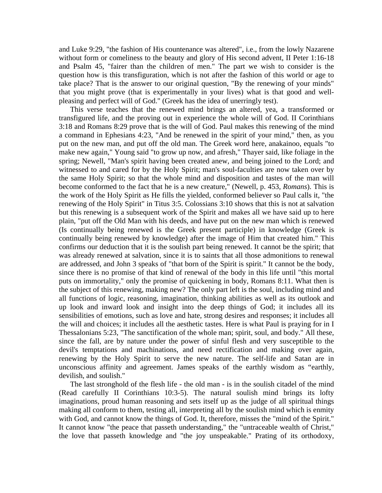and Luke 9:29, "the fashion of His countenance was altered", i.e., from the lowly Nazarene without form or comeliness to the beauty and glory of His second advent, II Peter 1:16-18 and Psalm 45, "fairer than the children of men." The part we wish to consider is the question how is this transfiguration, which is not after the fashion of this world or age to take place? That is the answer to our original question, "By the renewing of your minds" that you might prove (that is experimentally in your lives) what is that good and wellpleasing and perfect will of God." (Greek has the idea of unerringly test).

 This verse teaches that the renewed mind brings an altered, yea, a transformed or transfigured life, and the proving out in experience the whole will of God. II Corinthians 3:18 and Romans 8:29 prove that is the will of God. Paul makes this renewing of the mind a command in Ephesians 4:23, "And be renewed in the spirit of your mind," then, as you put on the new man, and put off the old man. The Greek word here, anakainoo, equals "to make new again," Young said "to grow up now, and afresh," Thayer said, like foliage in the spring; Newell, "Man's spirit having been created anew, and being joined to the Lord; and witnessed to and cared for by the Holy Spirit; man's soul-faculties are now taken over by the same Holy Spirit; so that the whole mind and disposition and tastes of the man will become conformed to the fact that he is a new creature," (Newell, p. 453, *Romans*). This is the work of the Holy Spirit as He fills the yielded, conformed believer so Paul calls it, "the renewing of the Holy Spirit" in Titus 3:5. Colossians 3:10 shows that this is not at salvation but this renewing is a subsequent work of the Spirit and makes all we have said up to here plain, "put off the Old Man with his deeds, and have put on the new man which is renewed (Is continually being renewed is the Greek present participle) in knowledge (Greek is continually being renewed by knowledge) after the image of Him that created him." This confirms our deduction that it is the soulish part being renewed. It cannot be the spirit; that was already renewed at salvation, since it is to saints that all those admonitions to renewal are addressed, and John 3 speaks of "that born of the Spirit is spirit." It cannot be the body, since there is no promise of that kind of renewal of the body in this life until "this mortal puts on immortality," only the promise of quickening in body, Romans 8:11. What then is the subject of this renewing, making new? The only part left is the soul, including mind and all functions of logic, reasoning, imagination, thinking abilities as well as its outlook and up look and inward look and insight into the deep things of God; it includes all its sensibilities of emotions, such as love and hate, strong desires and responses; it includes all the will and choices; it includes all the aesthetic tastes. Here is what Paul is praying for in I Thessalonians 5:23, "The sanctification of the whole man; spirit, soul, and body." All these, since the fall, are by nature under the power of sinful flesh and very susceptible to the devil's temptations and machinations, and need rectification and making over again, renewing by the Holy Spirit to serve the new nature. The self-life and Satan are in unconscious affinity and agreement. James speaks of the earthly wisdom as "earthly, devilish, and soulish."

 The last stronghold of the flesh life - the old man - is in the soulish citadel of the mind (Read carefully II Corinthians 10:3-5). The natural soulish mind brings its lofty imaginations, proud human reasoning and sets itself up as the judge of all spiritual things making all conform to them, testing all, interpreting all by the soulish mind which is enmity with God, and cannot know the things of God. It, therefore, misses the "mind of the Spirit." It cannot know "the peace that passeth understanding," the "untraceable wealth of Christ," the love that passeth knowledge and "the joy unspeakable." Prating of its orthodoxy,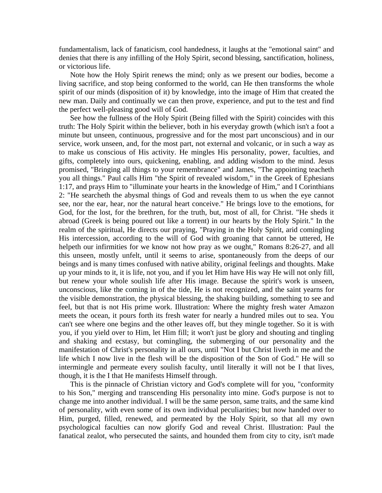fundamentalism, lack of fanaticism, cool handedness, it laughs at the "emotional saint" and denies that there is any infilling of the Holy Spirit, second blessing, sanctification, holiness, or victorious life.

 Note how the Holy Spirit renews the mind; only as we present our bodies, become a living sacrifice, and stop being conformed to the world, can He then transforms the whole spirit of our minds (disposition of it) by knowledge, into the image of Him that created the new man. Daily and continually we can then prove, experience, and put to the test and find the perfect well-pleasing good will of God.

 See how the fullness of the Holy Spirit (Being filled with the Spirit) coincides with this truth: The Holy Spirit within the believer, both in his everyday growth (which isn't a foot a minute but unseen, continuous, progressive and for the most part unconscious) and in our service, work unseen, and, for the most part, not external and volcanic, or in such a way as to make us conscious of His activity. He mingles His personality, power, faculties, and gifts, completely into ours, quickening, enabling, and adding wisdom to the mind. Jesus promised, "Bringing all things to your remembrance" and James, "The appointing teacheth you all things." Paul calls Him "the Spirit of revealed wisdom," in the Greek of Ephesians 1:17, and prays Him to "illuminate your hearts in the knowledge of Him," and I Corinthians 2: "He searcheth the abysmal things of God and reveals them to us when the eye cannot see, nor the ear, hear, nor the natural heart conceive." He brings love to the emotions, for God, for the lost, for the brethren, for the truth, but, most of all, for Christ. "He sheds it abroad (Greek is being poured out like a torrent) in our hearts by the Holy Spirit." In the realm of the spiritual, He directs our praying, "Praying in the Holy Spirit, arid comingling His intercession, according to the will of God with groaning that cannot be uttered, He helpeth our infirmities for we know not how pray as we ought," Romans 8:26-27, and all this unseen, mostly unfelt, until it seems to arise, spontaneously from the deeps of our beings and is many times confused with native ability, original feelings and thoughts. Make up your minds to it, it is life, not you, and if you let Him have His way He will not only fill, but renew your whole soulish life after His image. Because the spirit's work is unseen, unconscious, like the coming in of the tide, He is not recognized, and the saint yearns for the visible demonstration, the physical blessing, the shaking building, something to see and feel, but that is not His prime work. Illustration: Where the mighty fresh water Amazon meets the ocean, it pours forth its fresh water for nearly a hundred miles out to sea. You can't see where one begins and the other leaves off, but they mingle together. So it is with you, if you yield over to Him, let Him fill; it won't just be glory and shouting and tingling and shaking and ecstasy, but comingling, the submerging of our personality and the manifestation of Christ's personality in all ours, until "Not I but Christ liveth in me and the life which I now live in the flesh will be the disposition of the Son of God." He will so intermingle and permeate every soulish faculty, until literally it will not be I that lives, though, it is the I that He manifests Himself through.

 This is the pinnacle of Christian victory and God's complete will for you, "conformity to his Son," merging and transcending His personality into mine. God's purpose is not to change me into another individual. I will be the same person, same traits, and the same kind of personality, with even some of its own individual peculiarities; but now handed over to Him, purged, filled, renewed, and permeated by the Holy Spirit, so that all my own psychological faculties can now glorify God and reveal Christ. Illustration: Paul the fanatical zealot, who persecuted the saints, and hounded them from city to city, isn't made